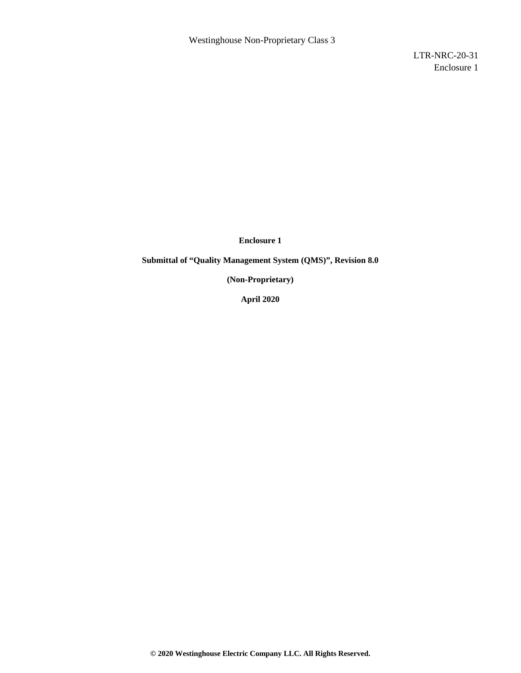LTR-NRC-20-31 Enclosure 1

**Enclosure 1** 

**Submittal of "Quality Management System (QMS)", Revision 8.0** 

**(Non-Proprietary)** 

**April 2020**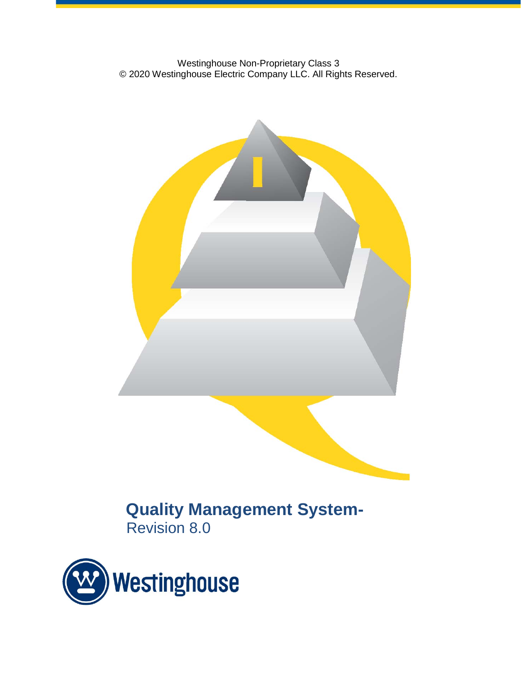Westinghouse Non-Proprietary Class 3 © 2020 Westinghouse Electric Company LLC. All Rights Reserved.



**Quality Management System-**Revision 8.0

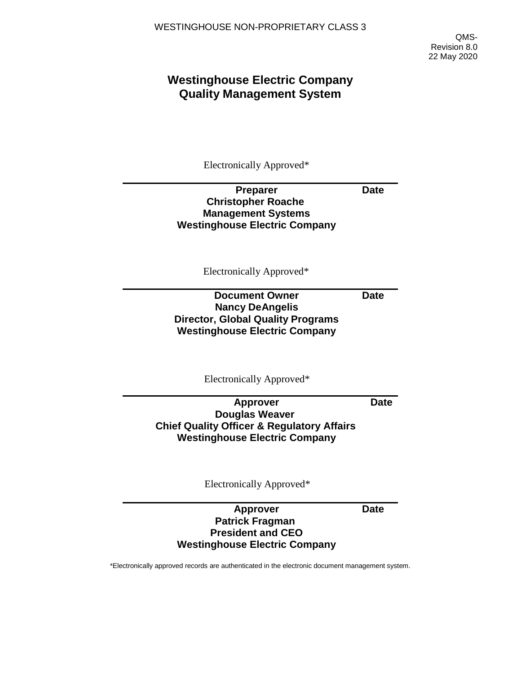QMS-Revision 8.0 22 May 2020

# **Westinghouse Electric Company Quality Management System**

Electronically Approved\*

# **Preparer Christopher Roache Management Systems Westinghouse Electric Company**

Electronically Approved\*

# **Document Owner Nancy DeAngelis Director, Global Quality Programs Westinghouse Electric Company**

Electronically Approved\*

**Date**

**Date**

**Approver Douglas Weaver Chief Quality Officer & Regulatory Affairs Westinghouse Electric Company**

Electronically Approved\*

### **Approver Patrick Fragman President and CEO Westinghouse Electric Company**

\*Electronically approved records are authenticated in the electronic document management system.

**Date**

**Date**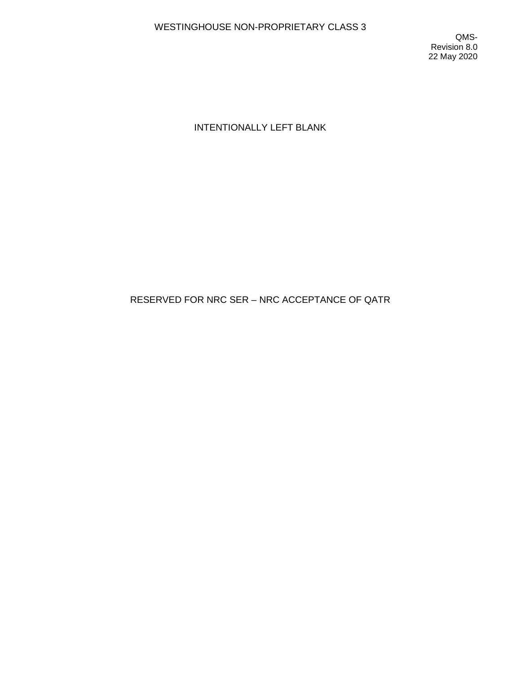QMS-Revision 8.0 22 May 2020

# INTENTIONALLY LEFT BLANK

# RESERVED FOR NRC SER – NRC ACCEPTANCE OF QATR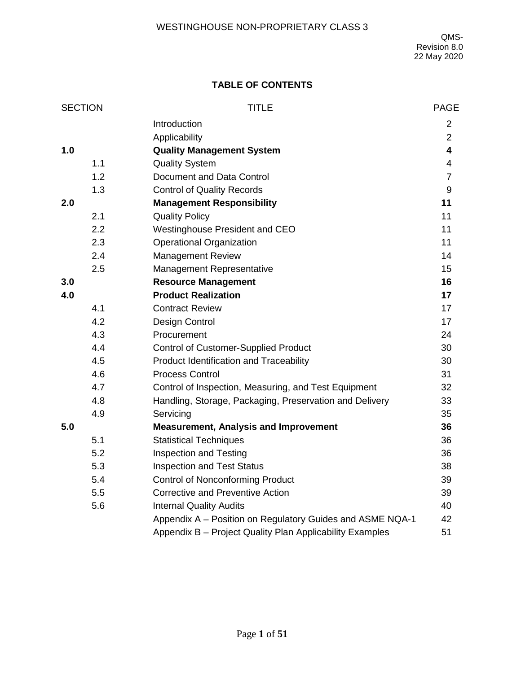## **TABLE OF CONTENTS**

| <b>SECTION</b> |     | <b>TITLE</b>                                              | <b>PAGE</b>              |
|----------------|-----|-----------------------------------------------------------|--------------------------|
|                |     | Introduction                                              | $\overline{2}$           |
|                |     | Applicability                                             | $\overline{2}$           |
| 1.0            |     | <b>Quality Management System</b>                          | 4                        |
|                | 1.1 | <b>Quality System</b>                                     | $\overline{\mathcal{A}}$ |
|                | 1.2 | Document and Data Control                                 | $\overline{7}$           |
|                | 1.3 | <b>Control of Quality Records</b>                         | 9                        |
| 2.0            |     | <b>Management Responsibility</b>                          | 11                       |
|                | 2.1 | <b>Quality Policy</b>                                     | 11                       |
|                | 2.2 | Westinghouse President and CEO                            | 11                       |
|                | 2.3 | <b>Operational Organization</b>                           | 11                       |
|                | 2.4 | Management Review                                         | 14                       |
|                | 2.5 | Management Representative                                 | 15                       |
| 3.0            |     | <b>Resource Management</b>                                | 16                       |
| 4.0            |     | <b>Product Realization</b>                                | 17                       |
|                | 4.1 | <b>Contract Review</b>                                    | 17                       |
|                | 4.2 | Design Control                                            | 17                       |
|                | 4.3 | Procurement                                               | 24                       |
|                | 4.4 | <b>Control of Customer-Supplied Product</b>               | 30                       |
|                | 4.5 | Product Identification and Traceability                   | 30                       |
|                | 4.6 | <b>Process Control</b>                                    | 31                       |
|                | 4.7 | Control of Inspection, Measuring, and Test Equipment      | 32                       |
|                | 4.8 | Handling, Storage, Packaging, Preservation and Delivery   | 33                       |
|                | 4.9 | Servicing                                                 | 35                       |
| 5.0            |     | <b>Measurement, Analysis and Improvement</b>              | 36                       |
|                | 5.1 | <b>Statistical Techniques</b>                             | 36                       |
|                | 5.2 | <b>Inspection and Testing</b>                             | 36                       |
|                | 5.3 | <b>Inspection and Test Status</b>                         | 38                       |
|                | 5.4 | <b>Control of Nonconforming Product</b>                   | 39                       |
|                | 5.5 | <b>Corrective and Preventive Action</b>                   | 39                       |
|                | 5.6 | <b>Internal Quality Audits</b>                            | 40                       |
|                |     | Appendix A - Position on Regulatory Guides and ASME NQA-1 | 42                       |
|                |     | Appendix B - Project Quality Plan Applicability Examples  | 51                       |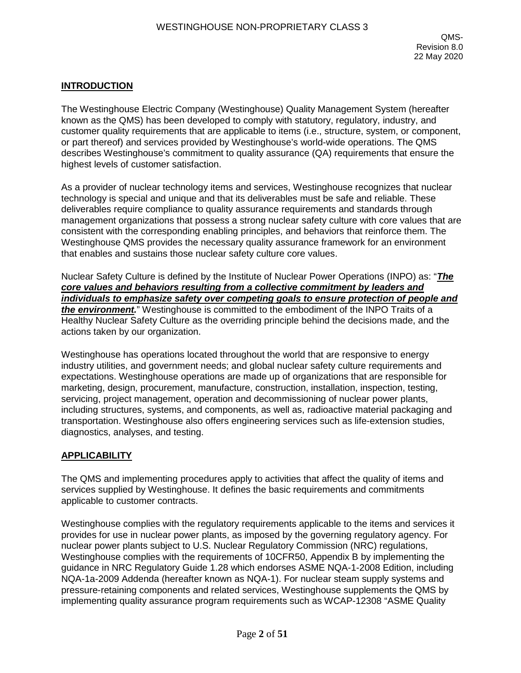## **INTRODUCTION**

The Westinghouse Electric Company (Westinghouse) Quality Management System (hereafter known as the QMS) has been developed to comply with statutory, regulatory, industry, and customer quality requirements that are applicable to items (i.e., structure, system, or component, or part thereof) and services provided by Westinghouse's world-wide operations. The QMS describes Westinghouse's commitment to quality assurance (QA) requirements that ensure the highest levels of customer satisfaction.

As a provider of nuclear technology items and services, Westinghouse recognizes that nuclear technology is special and unique and that its deliverables must be safe and reliable. These deliverables require compliance to quality assurance requirements and standards through management organizations that possess a strong nuclear safety culture with core values that are consistent with the corresponding enabling principles, and behaviors that reinforce them. The Westinghouse QMS provides the necessary quality assurance framework for an environment that enables and sustains those nuclear safety culture core values.

Nuclear Safety Culture is defined by the Institute of Nuclear Power Operations (INPO) as: "*The core values and behaviors resulting from a collective commitment by leaders and individuals to emphasize safety over competing goals to ensure protection of people and the environment.*" Westinghouse is committed to the embodiment of the INPO Traits of a Healthy Nuclear Safety Culture as the overriding principle behind the decisions made, and the actions taken by our organization.

Westinghouse has operations located throughout the world that are responsive to energy industry utilities, and government needs; and global nuclear safety culture requirements and expectations. Westinghouse operations are made up of organizations that are responsible for marketing, design, procurement, manufacture, construction, installation, inspection, testing, servicing, project management, operation and decommissioning of nuclear power plants, including structures, systems, and components, as well as, radioactive material packaging and transportation. Westinghouse also offers engineering services such as life-extension studies, diagnostics, analyses, and testing.

### **APPLICABILITY**

The QMS and implementing procedures apply to activities that affect the quality of items and services supplied by Westinghouse. It defines the basic requirements and commitments applicable to customer contracts.

Westinghouse complies with the regulatory requirements applicable to the items and services it provides for use in nuclear power plants, as imposed by the governing regulatory agency. For nuclear power plants subject to U.S. Nuclear Regulatory Commission (NRC) regulations, Westinghouse complies with the requirements of 10CFR50, Appendix B by implementing the guidance in NRC Regulatory Guide 1.28 which endorses ASME NQA-1-2008 Edition, including NQA-1a-2009 Addenda (hereafter known as NQA-1). For nuclear steam supply systems and pressure-retaining components and related services, Westinghouse supplements the QMS by implementing quality assurance program requirements such as WCAP-12308 "ASME Quality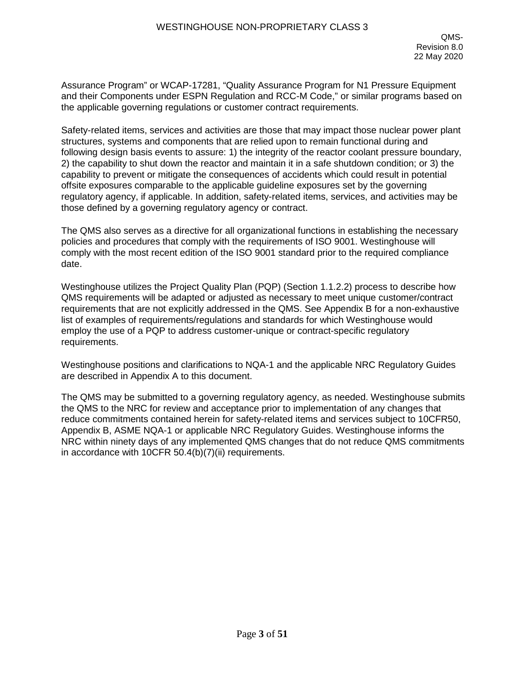Assurance Program" or WCAP-17281, "Quality Assurance Program for N1 Pressure Equipment and their Components under ESPN Regulation and RCC-M Code," or similar programs based on the applicable governing regulations or customer contract requirements.

Safety-related items, services and activities are those that may impact those nuclear power plant structures, systems and components that are relied upon to remain functional during and following design basis events to assure: 1) the integrity of the reactor coolant pressure boundary, 2) the capability to shut down the reactor and maintain it in a safe shutdown condition; or 3) the capability to prevent or mitigate the consequences of accidents which could result in potential offsite exposures comparable to the applicable guideline exposures set by the governing regulatory agency, if applicable. In addition, safety-related items, services, and activities may be those defined by a governing regulatory agency or contract.

The QMS also serves as a directive for all organizational functions in establishing the necessary policies and procedures that comply with the requirements of ISO 9001. Westinghouse will comply with the most recent edition of the ISO 9001 standard prior to the required compliance date.

Westinghouse utilizes the Project Quality Plan (PQP) (Section 1.1.2.2) process to describe how QMS requirements will be adapted or adjusted as necessary to meet unique customer/contract requirements that are not explicitly addressed in the QMS. See Appendix B for a non-exhaustive list of examples of requirements/regulations and standards for which Westinghouse would employ the use of a PQP to address customer-unique or contract-specific regulatory requirements.

Westinghouse positions and clarifications to NQA-1 and the applicable NRC Regulatory Guides are described in Appendix A to this document.

The QMS may be submitted to a governing regulatory agency, as needed. Westinghouse submits the QMS to the NRC for review and acceptance prior to implementation of any changes that reduce commitments contained herein for safety-related items and services subject to 10CFR50, Appendix B, ASME NQA-1 or applicable NRC Regulatory Guides. Westinghouse informs the NRC within ninety days of any implemented QMS changes that do not reduce QMS commitments in accordance with 10CFR 50.4(b)(7)(ii) requirements.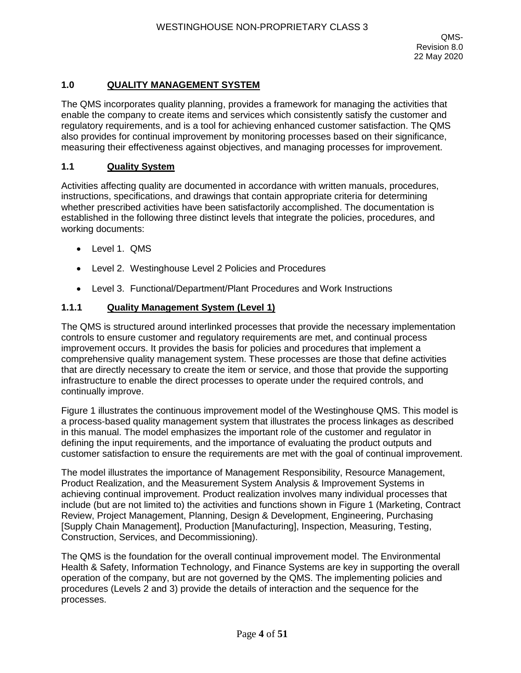## **1.0 QUALITY MANAGEMENT SYSTEM**

The QMS incorporates quality planning, provides a framework for managing the activities that enable the company to create items and services which consistently satisfy the customer and regulatory requirements, and is a tool for achieving enhanced customer satisfaction. The QMS also provides for continual improvement by monitoring processes based on their significance, measuring their effectiveness against objectives, and managing processes for improvement.

#### **1.1 Quality System**

Activities affecting quality are documented in accordance with written manuals, procedures, instructions, specifications, and drawings that contain appropriate criteria for determining whether prescribed activities have been satisfactorily accomplished. The documentation is established in the following three distinct levels that integrate the policies, procedures, and working documents:

- Level 1. QMS
- Level 2. Westinghouse Level 2 Policies and Procedures
- Level 3. Functional/Department/Plant Procedures and Work Instructions

#### **1.1.1 Quality Management System (Level 1)**

The QMS is structured around interlinked processes that provide the necessary implementation controls to ensure customer and regulatory requirements are met, and continual process improvement occurs. It provides the basis for policies and procedures that implement a comprehensive quality management system. These processes are those that define activities that are directly necessary to create the item or service, and those that provide the supporting infrastructure to enable the direct processes to operate under the required controls, and continually improve.

Figure 1 illustrates the continuous improvement model of the Westinghouse QMS. This model is a process-based quality management system that illustrates the process linkages as described in this manual. The model emphasizes the important role of the customer and regulator in defining the input requirements, and the importance of evaluating the product outputs and customer satisfaction to ensure the requirements are met with the goal of continual improvement.

The model illustrates the importance of Management Responsibility, Resource Management, Product Realization, and the Measurement System Analysis & Improvement Systems in achieving continual improvement. Product realization involves many individual processes that include (but are not limited to) the activities and functions shown in Figure 1 (Marketing, Contract Review, Project Management, Planning, Design & Development, Engineering, Purchasing [Supply Chain Management], Production [Manufacturing], Inspection, Measuring, Testing, Construction, Services, and Decommissioning).

The QMS is the foundation for the overall continual improvement model. The Environmental Health & Safety, Information Technology, and Finance Systems are key in supporting the overall operation of the company, but are not governed by the QMS. The implementing policies and procedures (Levels 2 and 3) provide the details of interaction and the sequence for the processes.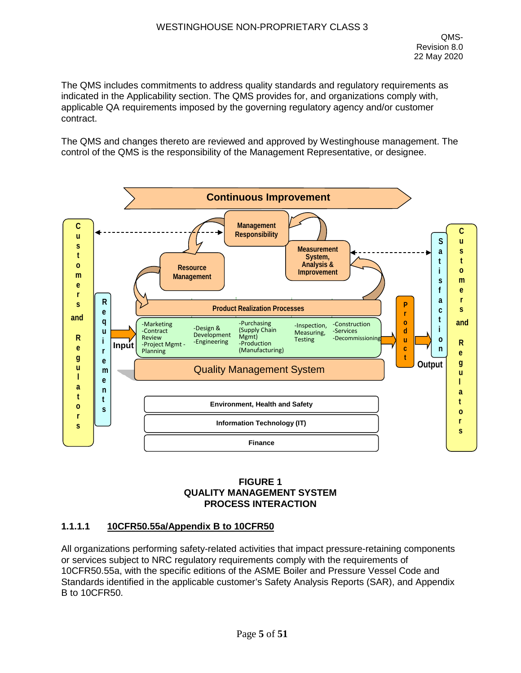The QMS includes commitments to address quality standards and regulatory requirements as indicated in the Applicability section. The QMS provides for, and organizations comply with, applicable QA requirements imposed by the governing regulatory agency and/or customer contract.

The QMS and changes thereto are reviewed and approved by Westinghouse management. The control of the QMS is the responsibility of the Management Representative, or designee.



## **FIGURE 1 QUALITY MANAGEMENT SYSTEM PROCESS INTERACTION**

### **1.1.1.1 10CFR50.55a/Appendix B to 10CFR50**

All organizations performing safety-related activities that impact pressure-retaining components or services subject to NRC regulatory requirements comply with the requirements of 10CFR50.55a, with the specific editions of the ASME Boiler and Pressure Vessel Code and Standards identified in the applicable customer's Safety Analysis Reports (SAR), and Appendix B to 10CFR50.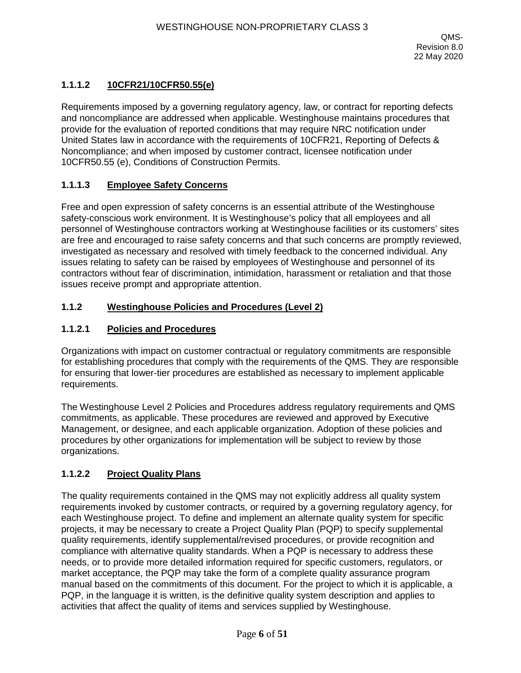## **1.1.1.2 10CFR21/10CFR50.55(e)**

Requirements imposed by a governing regulatory agency, law, or contract for reporting defects and noncompliance are addressed when applicable. Westinghouse maintains procedures that provide for the evaluation of reported conditions that may require NRC notification under United States law in accordance with the requirements of 10CFR21, Reporting of Defects & Noncompliance; and when imposed by customer contract, licensee notification under 10CFR50.55 (e), Conditions of Construction Permits.

## **1.1.1.3 Employee Safety Concerns**

Free and open expression of safety concerns is an essential attribute of the Westinghouse safety-conscious work environment. It is Westinghouse's policy that all employees and all personnel of Westinghouse contractors working at Westinghouse facilities or its customers' sites are free and encouraged to raise safety concerns and that such concerns are promptly reviewed, investigated as necessary and resolved with timely feedback to the concerned individual. Any issues relating to safety can be raised by employees of Westinghouse and personnel of its contractors without fear of discrimination, intimidation, harassment or retaliation and that those issues receive prompt and appropriate attention.

## **1.1.2 Westinghouse Policies and Procedures (Level 2)**

## **1.1.2.1 Policies and Procedures**

Organizations with impact on customer contractual or regulatory commitments are responsible for establishing procedures that comply with the requirements of the QMS. They are responsible for ensuring that lower-tier procedures are established as necessary to implement applicable requirements.

The Westinghouse Level 2 Policies and Procedures address regulatory requirements and QMS commitments, as applicable. These procedures are reviewed and approved by Executive Management, or designee, and each applicable organization. Adoption of these policies and procedures by other organizations for implementation will be subject to review by those organizations.

## **1.1.2.2 Project Quality Plans**

The quality requirements contained in the QMS may not explicitly address all quality system requirements invoked by customer contracts, or required by a governing regulatory agency, for each Westinghouse project. To define and implement an alternate quality system for specific projects, it may be necessary to create a Project Quality Plan (PQP) to specify supplemental quality requirements, identify supplemental/revised procedures, or provide recognition and compliance with alternative quality standards. When a PQP is necessary to address these needs, or to provide more detailed information required for specific customers, regulators, or market acceptance, the PQP may take the form of a complete quality assurance program manual based on the commitments of this document. For the project to which it is applicable, a PQP, in the language it is written, is the definitive quality system description and applies to activities that affect the quality of items and services supplied by Westinghouse.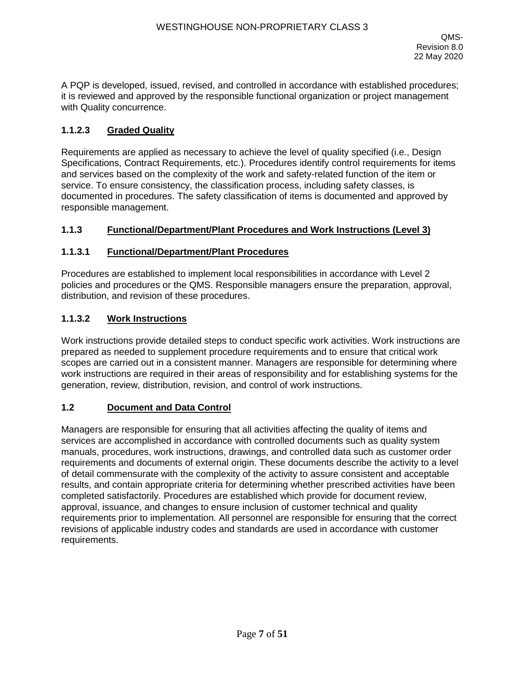A PQP is developed, issued, revised, and controlled in accordance with established procedures; it is reviewed and approved by the responsible functional organization or project management with Quality concurrence.

## **1.1.2.3 Graded Quality**

Requirements are applied as necessary to achieve the level of quality specified (i.e., Design Specifications, Contract Requirements, etc.). Procedures identify control requirements for items and services based on the complexity of the work and safety-related function of the item or service. To ensure consistency, the classification process, including safety classes, is documented in procedures. The safety classification of items is documented and approved by responsible management.

### **1.1.3 Functional/Department/Plant Procedures and Work Instructions (Level 3)**

#### **1.1.3.1 Functional/Department/Plant Procedures**

Procedures are established to implement local responsibilities in accordance with Level 2 policies and procedures or the QMS. Responsible managers ensure the preparation, approval, distribution, and revision of these procedures.

#### **1.1.3.2 Work Instructions**

Work instructions provide detailed steps to conduct specific work activities. Work instructions are prepared as needed to supplement procedure requirements and to ensure that critical work scopes are carried out in a consistent manner. Managers are responsible for determining where work instructions are required in their areas of responsibility and for establishing systems for the generation, review, distribution, revision, and control of work instructions.

## **1.2 Document and Data Control**

Managers are responsible for ensuring that all activities affecting the quality of items and services are accomplished in accordance with controlled documents such as quality system manuals, procedures, work instructions, drawings, and controlled data such as customer order requirements and documents of external origin. These documents describe the activity to a level of detail commensurate with the complexity of the activity to assure consistent and acceptable results, and contain appropriate criteria for determining whether prescribed activities have been completed satisfactorily. Procedures are established which provide for document review, approval, issuance, and changes to ensure inclusion of customer technical and quality requirements prior to implementation. All personnel are responsible for ensuring that the correct revisions of applicable industry codes and standards are used in accordance with customer requirements.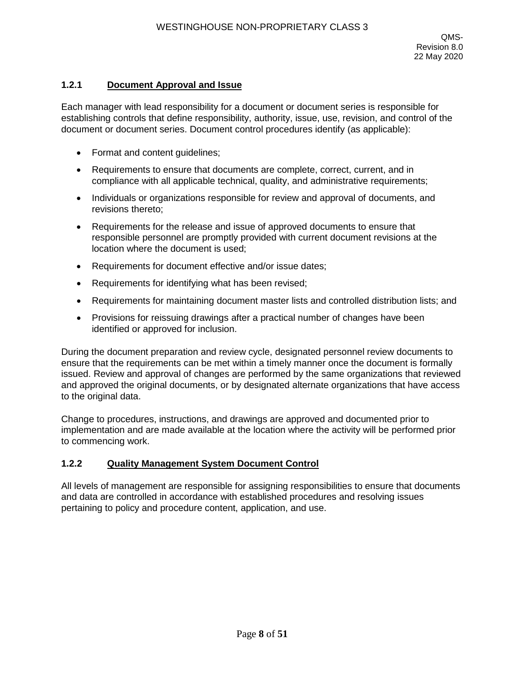## **1.2.1 Document Approval and Issue**

Each manager with lead responsibility for a document or document series is responsible for establishing controls that define responsibility, authority, issue, use, revision, and control of the document or document series. Document control procedures identify (as applicable):

- Format and content guidelines;
- Requirements to ensure that documents are complete, correct, current, and in compliance with all applicable technical, quality, and administrative requirements;
- Individuals or organizations responsible for review and approval of documents, and revisions thereto;
- Requirements for the release and issue of approved documents to ensure that responsible personnel are promptly provided with current document revisions at the location where the document is used;
- Requirements for document effective and/or issue dates;
- Requirements for identifying what has been revised;
- Requirements for maintaining document master lists and controlled distribution lists; and
- Provisions for reissuing drawings after a practical number of changes have been identified or approved for inclusion.

During the document preparation and review cycle, designated personnel review documents to ensure that the requirements can be met within a timely manner once the document is formally issued. Review and approval of changes are performed by the same organizations that reviewed and approved the original documents, or by designated alternate organizations that have access to the original data.

Change to procedures, instructions, and drawings are approved and documented prior to implementation and are made available at the location where the activity will be performed prior to commencing work.

### **1.2.2 Quality Management System Document Control**

All levels of management are responsible for assigning responsibilities to ensure that documents and data are controlled in accordance with established procedures and resolving issues pertaining to policy and procedure content, application, and use.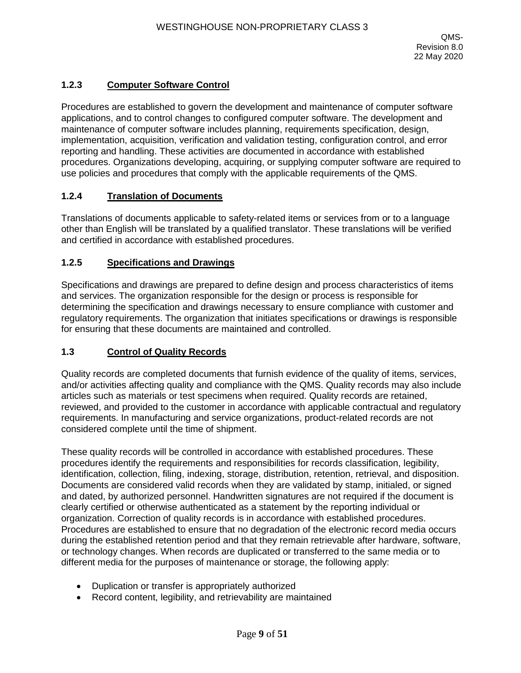## **1.2.3 Computer Software Control**

Procedures are established to govern the development and maintenance of computer software applications, and to control changes to configured computer software. The development and maintenance of computer software includes planning, requirements specification, design, implementation, acquisition, verification and validation testing, configuration control, and error reporting and handling. These activities are documented in accordance with established procedures. Organizations developing, acquiring, or supplying computer software are required to use policies and procedures that comply with the applicable requirements of the QMS.

### **1.2.4 Translation of Documents**

Translations of documents applicable to safety-related items or services from or to a language other than English will be translated by a qualified translator. These translations will be verified and certified in accordance with established procedures.

### **1.2.5 Specifications and Drawings**

Specifications and drawings are prepared to define design and process characteristics of items and services. The organization responsible for the design or process is responsible for determining the specification and drawings necessary to ensure compliance with customer and regulatory requirements. The organization that initiates specifications or drawings is responsible for ensuring that these documents are maintained and controlled.

### **1.3 Control of Quality Records**

Quality records are completed documents that furnish evidence of the quality of items, services, and/or activities affecting quality and compliance with the QMS. Quality records may also include articles such as materials or test specimens when required. Quality records are retained, reviewed, and provided to the customer in accordance with applicable contractual and regulatory requirements. In manufacturing and service organizations, product-related records are not considered complete until the time of shipment.

These quality records will be controlled in accordance with established procedures. These procedures identify the requirements and responsibilities for records classification, legibility, identification, collection, filing, indexing, storage, distribution, retention, retrieval, and disposition. Documents are considered valid records when they are validated by stamp, initialed, or signed and dated, by authorized personnel. Handwritten signatures are not required if the document is clearly certified or otherwise authenticated as a statement by the reporting individual or organization. Correction of quality records is in accordance with established procedures. Procedures are established to ensure that no degradation of the electronic record media occurs during the established retention period and that they remain retrievable after hardware, software, or technology changes. When records are duplicated or transferred to the same media or to different media for the purposes of maintenance or storage, the following apply:

- Duplication or transfer is appropriately authorized
- Record content, legibility, and retrievability are maintained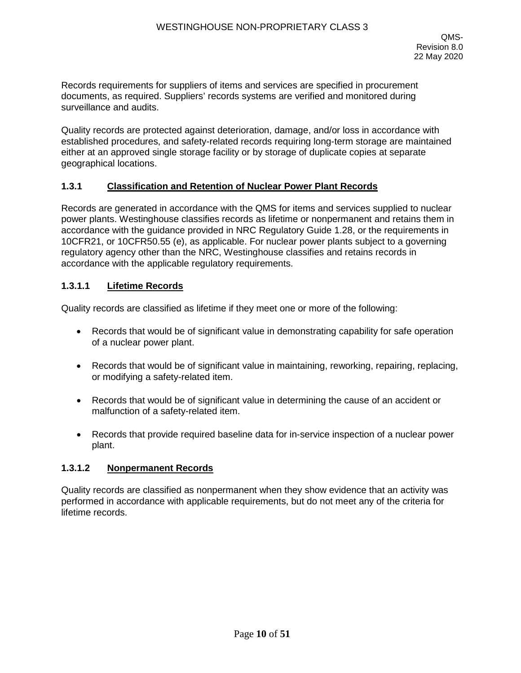Records requirements for suppliers of items and services are specified in procurement documents, as required. Suppliers' records systems are verified and monitored during surveillance and audits.

Quality records are protected against deterioration, damage, and/or loss in accordance with established procedures, and safety-related records requiring long-term storage are maintained either at an approved single storage facility or by storage of duplicate copies at separate geographical locations.

#### **1.3.1 Classification and Retention of Nuclear Power Plant Records**

Records are generated in accordance with the QMS for items and services supplied to nuclear power plants. Westinghouse classifies records as lifetime or nonpermanent and retains them in accordance with the guidance provided in NRC Regulatory Guide 1.28, or the requirements in 10CFR21, or 10CFR50.55 (e), as applicable. For nuclear power plants subject to a governing regulatory agency other than the NRC, Westinghouse classifies and retains records in accordance with the applicable regulatory requirements.

#### **1.3.1.1 Lifetime Records**

Quality records are classified as lifetime if they meet one or more of the following:

- Records that would be of significant value in demonstrating capability for safe operation of a nuclear power plant.
- Records that would be of significant value in maintaining, reworking, repairing, replacing, or modifying a safety-related item.
- Records that would be of significant value in determining the cause of an accident or malfunction of a safety-related item.
- Records that provide required baseline data for in-service inspection of a nuclear power plant.

### **1.3.1.2 Nonpermanent Records**

Quality records are classified as nonpermanent when they show evidence that an activity was performed in accordance with applicable requirements, but do not meet any of the criteria for lifetime records.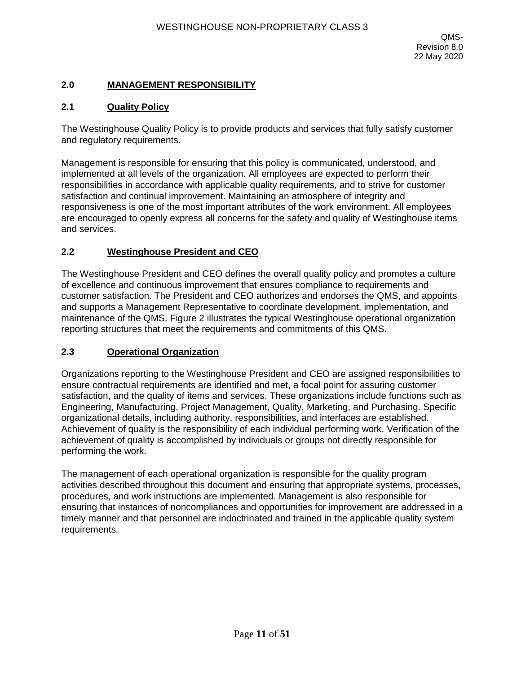## **2.0 MANAGEMENT RESPONSIBILITY**

### **2.1 Quality Policy**

The Westinghouse Quality Policy is to provide products and services that fully satisfy customer and regulatory requirements.

Management is responsible for ensuring that this policy is communicated, understood, and implemented at all levels of the organization. All employees are expected to perform their responsibilities in accordance with applicable quality requirements, and to strive for customer satisfaction and continual improvement. Maintaining an atmosphere of integrity and responsiveness is one of the most important attributes of the work environment. All employees are encouraged to openly express all concerns for the safety and quality of Westinghouse items and services.

#### **2.2 Westinghouse President and CEO**

The Westinghouse President and CEO defines the overall quality policy and promotes a culture of excellence and continuous improvement that ensures compliance to requirements and customer satisfaction. The President and CEO authorizes and endorses the QMS, and appoints and supports a Management Representative to coordinate development, implementation, and maintenance of the QMS. Figure 2 illustrates the typical Westinghouse operational organization reporting structures that meet the requirements and commitments of this QMS.

#### **2.3 Operational Organization**

Organizations reporting to the Westinghouse President and CEO are assigned responsibilities to ensure contractual requirements are identified and met, a focal point for assuring customer satisfaction, and the quality of items and services. These organizations include functions such as Engineering, Manufacturing, Project Management, Quality, Marketing, and Purchasing. Specific organizational details, including authority, responsibilities, and interfaces are established. Achievement of quality is the responsibility of each individual performing work. Verification of the achievement of quality is accomplished by individuals or groups not directly responsible for performing the work.

The management of each operational organization is responsible for the quality program activities described throughout this document and ensuring that appropriate systems, processes, procedures, and work instructions are implemented. Management is also responsible for ensuring that instances of noncompliances and opportunities for improvement are addressed in a timely manner and that personnel are indoctrinated and trained in the applicable quality system requirements.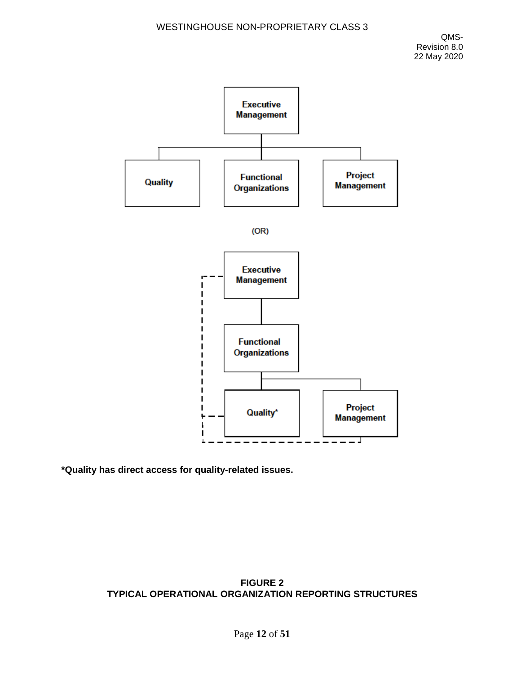

**\*Quality has direct access for quality-related issues.** 

## **FIGURE 2 TYPICAL OPERATIONAL ORGANIZATION REPORTING STRUCTURES**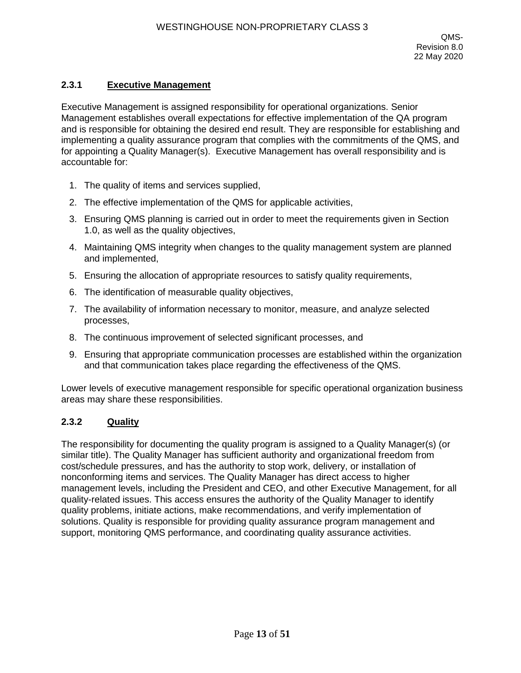## **2.3.1 Executive Management**

Executive Management is assigned responsibility for operational organizations. Senior Management establishes overall expectations for effective implementation of the QA program and is responsible for obtaining the desired end result. They are responsible for establishing and implementing a quality assurance program that complies with the commitments of the QMS, and for appointing a Quality Manager(s). Executive Management has overall responsibility and is accountable for:

- 1. The quality of items and services supplied,
- 2. The effective implementation of the QMS for applicable activities,
- 3. Ensuring QMS planning is carried out in order to meet the requirements given in Section 1.0, as well as the quality objectives,
- 4. Maintaining QMS integrity when changes to the quality management system are planned and implemented,
- 5. Ensuring the allocation of appropriate resources to satisfy quality requirements,
- 6. The identification of measurable quality objectives,
- 7. The availability of information necessary to monitor, measure, and analyze selected processes,
- 8. The continuous improvement of selected significant processes, and
- 9. Ensuring that appropriate communication processes are established within the organization and that communication takes place regarding the effectiveness of the QMS.

Lower levels of executive management responsible for specific operational organization business areas may share these responsibilities.

### **2.3.2 Quality**

The responsibility for documenting the quality program is assigned to a Quality Manager(s) (or similar title). The Quality Manager has sufficient authority and organizational freedom from cost/schedule pressures, and has the authority to stop work, delivery, or installation of nonconforming items and services. The Quality Manager has direct access to higher management levels, including the President and CEO, and other Executive Management, for all quality-related issues. This access ensures the authority of the Quality Manager to identify quality problems, initiate actions, make recommendations, and verify implementation of solutions. Quality is responsible for providing quality assurance program management and support, monitoring QMS performance, and coordinating quality assurance activities.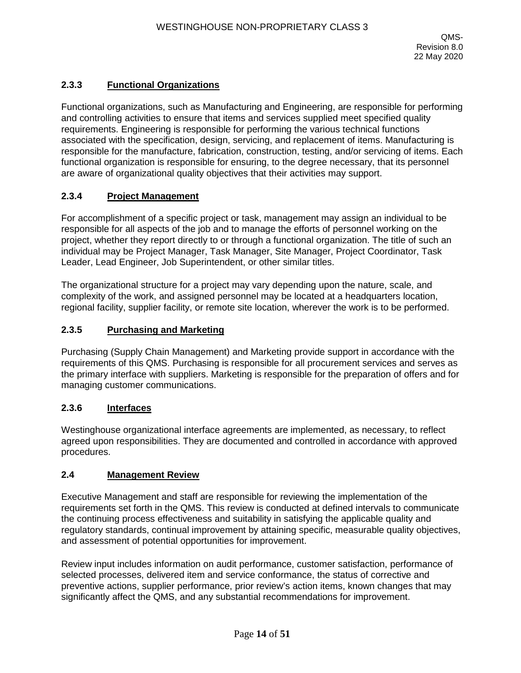## **2.3.3 Functional Organizations**

Functional organizations, such as Manufacturing and Engineering, are responsible for performing and controlling activities to ensure that items and services supplied meet specified quality requirements. Engineering is responsible for performing the various technical functions associated with the specification, design, servicing, and replacement of items. Manufacturing is responsible for the manufacture, fabrication, construction, testing, and/or servicing of items. Each functional organization is responsible for ensuring, to the degree necessary, that its personnel are aware of organizational quality objectives that their activities may support.

### **2.3.4 Project Management**

For accomplishment of a specific project or task, management may assign an individual to be responsible for all aspects of the job and to manage the efforts of personnel working on the project, whether they report directly to or through a functional organization. The title of such an individual may be Project Manager, Task Manager, Site Manager, Project Coordinator, Task Leader, Lead Engineer, Job Superintendent, or other similar titles.

The organizational structure for a project may vary depending upon the nature, scale, and complexity of the work, and assigned personnel may be located at a headquarters location, regional facility, supplier facility, or remote site location, wherever the work is to be performed.

### **2.3.5 Purchasing and Marketing**

Purchasing (Supply Chain Management) and Marketing provide support in accordance with the requirements of this QMS. Purchasing is responsible for all procurement services and serves as the primary interface with suppliers. Marketing is responsible for the preparation of offers and for managing customer communications.

### **2.3.6 Interfaces**

Westinghouse organizational interface agreements are implemented, as necessary, to reflect agreed upon responsibilities. They are documented and controlled in accordance with approved procedures.

### **2.4 Management Review**

Executive Management and staff are responsible for reviewing the implementation of the requirements set forth in the QMS. This review is conducted at defined intervals to communicate the continuing process effectiveness and suitability in satisfying the applicable quality and regulatory standards, continual improvement by attaining specific, measurable quality objectives, and assessment of potential opportunities for improvement.

Review input includes information on audit performance, customer satisfaction, performance of selected processes, delivered item and service conformance, the status of corrective and preventive actions, supplier performance, prior review's action items, known changes that may significantly affect the QMS, and any substantial recommendations for improvement.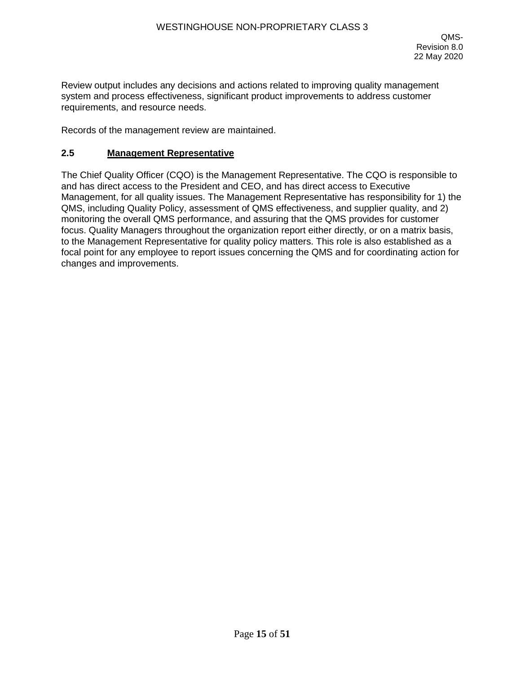Review output includes any decisions and actions related to improving quality management system and process effectiveness, significant product improvements to address customer requirements, and resource needs.

Records of the management review are maintained.

#### **2.5 Management Representative**

The Chief Quality Officer (CQO) is the Management Representative. The CQO is responsible to and has direct access to the President and CEO, and has direct access to Executive Management, for all quality issues. The Management Representative has responsibility for 1) the QMS, including Quality Policy, assessment of QMS effectiveness, and supplier quality, and 2) monitoring the overall QMS performance, and assuring that the QMS provides for customer focus. Quality Managers throughout the organization report either directly, or on a matrix basis, to the Management Representative for quality policy matters. This role is also established as a focal point for any employee to report issues concerning the QMS and for coordinating action for changes and improvements.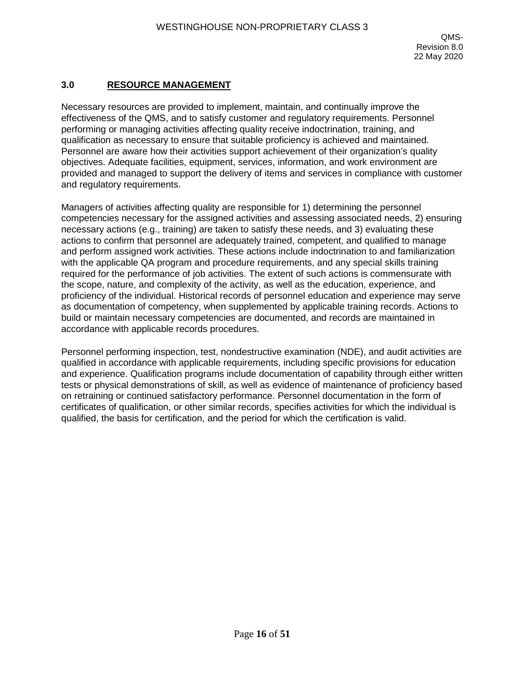## **3.0 RESOURCE MANAGEMENT**

Necessary resources are provided to implement, maintain, and continually improve the effectiveness of the QMS, and to satisfy customer and regulatory requirements. Personnel performing or managing activities affecting quality receive indoctrination, training, and qualification as necessary to ensure that suitable proficiency is achieved and maintained. Personnel are aware how their activities support achievement of their organization's quality objectives. Adequate facilities, equipment, services, information, and work environment are provided and managed to support the delivery of items and services in compliance with customer and regulatory requirements.

Managers of activities affecting quality are responsible for 1) determining the personnel competencies necessary for the assigned activities and assessing associated needs, 2) ensuring necessary actions (e.g., training) are taken to satisfy these needs, and 3) evaluating these actions to confirm that personnel are adequately trained, competent, and qualified to manage and perform assigned work activities. These actions include indoctrination to and familiarization with the applicable QA program and procedure requirements, and any special skills training required for the performance of job activities. The extent of such actions is commensurate with the scope, nature, and complexity of the activity, as well as the education, experience, and proficiency of the individual. Historical records of personnel education and experience may serve as documentation of competency, when supplemented by applicable training records. Actions to build or maintain necessary competencies are documented, and records are maintained in accordance with applicable records procedures.

Personnel performing inspection, test, nondestructive examination (NDE), and audit activities are qualified in accordance with applicable requirements, including specific provisions for education and experience. Qualification programs include documentation of capability through either written tests or physical demonstrations of skill, as well as evidence of maintenance of proficiency based on retraining or continued satisfactory performance. Personnel documentation in the form of certificates of qualification, or other similar records, specifies activities for which the individual is qualified, the basis for certification, and the period for which the certification is valid.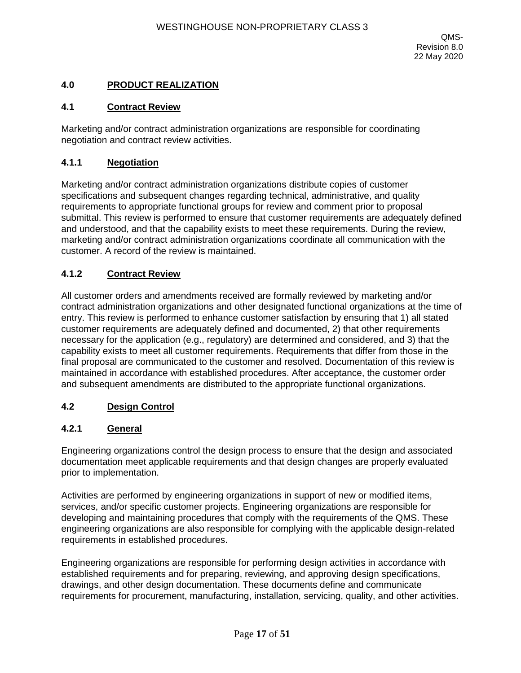## **4.0 PRODUCT REALIZATION**

#### **4.1 Contract Review**

Marketing and/or contract administration organizations are responsible for coordinating negotiation and contract review activities.

#### **4.1.1 Negotiation**

Marketing and/or contract administration organizations distribute copies of customer specifications and subsequent changes regarding technical, administrative, and quality requirements to appropriate functional groups for review and comment prior to proposal submittal. This review is performed to ensure that customer requirements are adequately defined and understood, and that the capability exists to meet these requirements. During the review, marketing and/or contract administration organizations coordinate all communication with the customer. A record of the review is maintained.

### **4.1.2 Contract Review**

All customer orders and amendments received are formally reviewed by marketing and/or contract administration organizations and other designated functional organizations at the time of entry. This review is performed to enhance customer satisfaction by ensuring that 1) all stated customer requirements are adequately defined and documented, 2) that other requirements necessary for the application (e.g., regulatory) are determined and considered, and 3) that the capability exists to meet all customer requirements. Requirements that differ from those in the final proposal are communicated to the customer and resolved. Documentation of this review is maintained in accordance with established procedures. After acceptance, the customer order and subsequent amendments are distributed to the appropriate functional organizations.

### **4.2 Design Control**

#### **4.2.1 General**

Engineering organizations control the design process to ensure that the design and associated documentation meet applicable requirements and that design changes are properly evaluated prior to implementation.

Activities are performed by engineering organizations in support of new or modified items, services, and/or specific customer projects. Engineering organizations are responsible for developing and maintaining procedures that comply with the requirements of the QMS. These engineering organizations are also responsible for complying with the applicable design-related requirements in established procedures.

Engineering organizations are responsible for performing design activities in accordance with established requirements and for preparing, reviewing, and approving design specifications, drawings, and other design documentation. These documents define and communicate requirements for procurement, manufacturing, installation, servicing, quality, and other activities.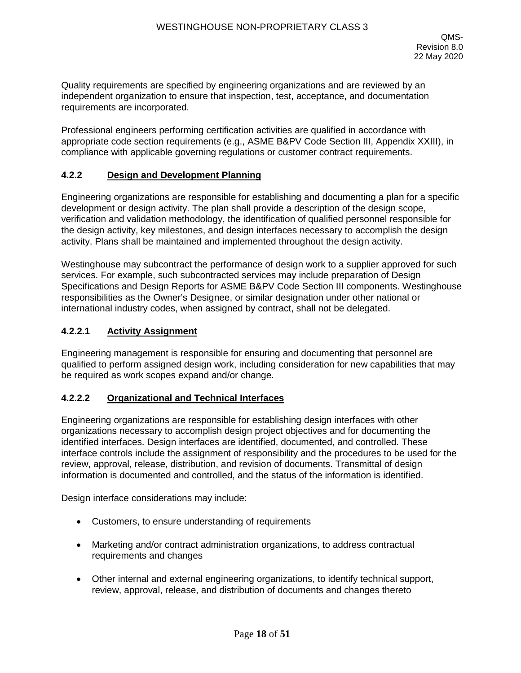Quality requirements are specified by engineering organizations and are reviewed by an independent organization to ensure that inspection, test, acceptance, and documentation requirements are incorporated.

Professional engineers performing certification activities are qualified in accordance with appropriate code section requirements (e.g., ASME B&PV Code Section III, Appendix XXIII), in compliance with applicable governing regulations or customer contract requirements.

#### **4.2.2 Design and Development Planning**

Engineering organizations are responsible for establishing and documenting a plan for a specific development or design activity. The plan shall provide a description of the design scope, verification and validation methodology, the identification of qualified personnel responsible for the design activity, key milestones, and design interfaces necessary to accomplish the design activity. Plans shall be maintained and implemented throughout the design activity.

Westinghouse may subcontract the performance of design work to a supplier approved for such services. For example, such subcontracted services may include preparation of Design Specifications and Design Reports for ASME B&PV Code Section III components. Westinghouse responsibilities as the Owner's Designee, or similar designation under other national or international industry codes, when assigned by contract, shall not be delegated.

#### **4.2.2.1 Activity Assignment**

Engineering management is responsible for ensuring and documenting that personnel are qualified to perform assigned design work, including consideration for new capabilities that may be required as work scopes expand and/or change.

### **4.2.2.2 Organizational and Technical Interfaces**

Engineering organizations are responsible for establishing design interfaces with other organizations necessary to accomplish design project objectives and for documenting the identified interfaces. Design interfaces are identified, documented, and controlled. These interface controls include the assignment of responsibility and the procedures to be used for the review, approval, release, distribution, and revision of documents. Transmittal of design information is documented and controlled, and the status of the information is identified.

Design interface considerations may include:

- Customers, to ensure understanding of requirements
- Marketing and/or contract administration organizations, to address contractual requirements and changes
- Other internal and external engineering organizations, to identify technical support, review, approval, release, and distribution of documents and changes thereto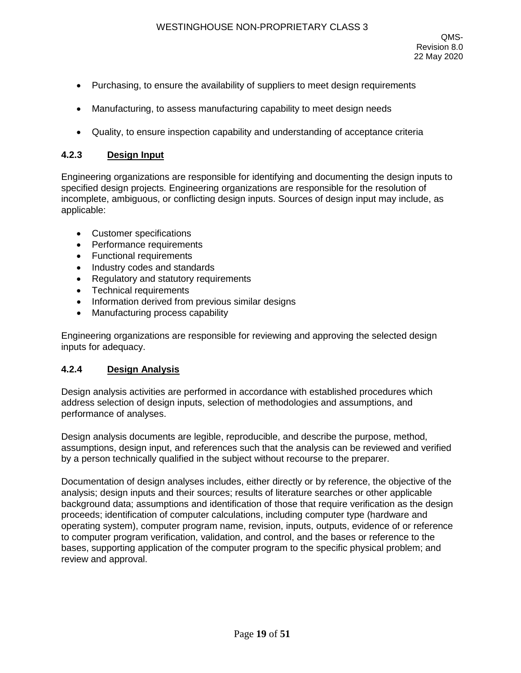- Purchasing, to ensure the availability of suppliers to meet design requirements
- Manufacturing, to assess manufacturing capability to meet design needs
- Quality, to ensure inspection capability and understanding of acceptance criteria

#### **4.2.3 Design Input**

Engineering organizations are responsible for identifying and documenting the design inputs to specified design projects. Engineering organizations are responsible for the resolution of incomplete, ambiguous, or conflicting design inputs. Sources of design input may include, as applicable:

- Customer specifications
- Performance requirements
- Functional requirements
- Industry codes and standards
- Regulatory and statutory requirements
- Technical requirements
- Information derived from previous similar designs
- Manufacturing process capability

Engineering organizations are responsible for reviewing and approving the selected design inputs for adequacy.

## **4.2.4 Design Analysis**

Design analysis activities are performed in accordance with established procedures which address selection of design inputs, selection of methodologies and assumptions, and performance of analyses.

Design analysis documents are legible, reproducible, and describe the purpose, method, assumptions, design input, and references such that the analysis can be reviewed and verified by a person technically qualified in the subject without recourse to the preparer.

Documentation of design analyses includes, either directly or by reference, the objective of the analysis; design inputs and their sources; results of literature searches or other applicable background data; assumptions and identification of those that require verification as the design proceeds; identification of computer calculations, including computer type (hardware and operating system), computer program name, revision, inputs, outputs, evidence of or reference to computer program verification, validation, and control, and the bases or reference to the bases, supporting application of the computer program to the specific physical problem; and review and approval.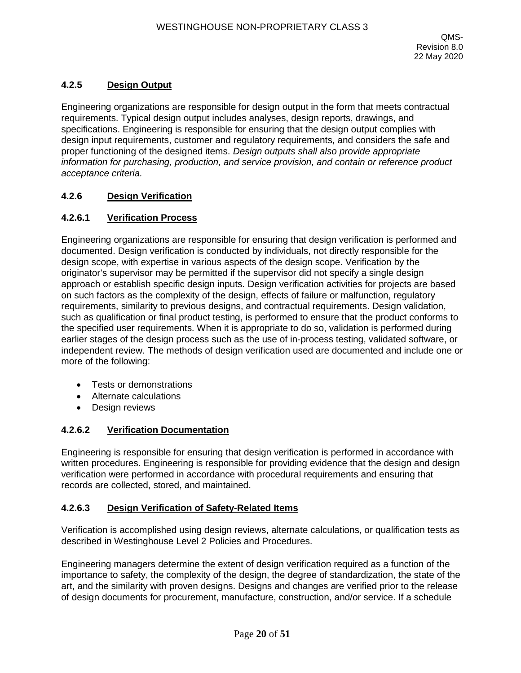## **4.2.5 Design Output**

Engineering organizations are responsible for design output in the form that meets contractual requirements. Typical design output includes analyses, design reports, drawings, and specifications. Engineering is responsible for ensuring that the design output complies with design input requirements, customer and regulatory requirements, and considers the safe and proper functioning of the designed items. *Design outputs shall also provide appropriate information for purchasing, production, and service provision, and contain or reference product acceptance criteria.*

## **4.2.6 Design Verification**

### **4.2.6.1 Verification Process**

Engineering organizations are responsible for ensuring that design verification is performed and documented. Design verification is conducted by individuals, not directly responsible for the design scope, with expertise in various aspects of the design scope. Verification by the originator's supervisor may be permitted if the supervisor did not specify a single design approach or establish specific design inputs. Design verification activities for projects are based on such factors as the complexity of the design, effects of failure or malfunction, regulatory requirements, similarity to previous designs, and contractual requirements. Design validation, such as qualification or final product testing, is performed to ensure that the product conforms to the specified user requirements. When it is appropriate to do so, validation is performed during earlier stages of the design process such as the use of in-process testing, validated software, or independent review. The methods of design verification used are documented and include one or more of the following:

- Tests or demonstrations
- Alternate calculations
- Design reviews

## **4.2.6.2 Verification Documentation**

Engineering is responsible for ensuring that design verification is performed in accordance with written procedures. Engineering is responsible for providing evidence that the design and design verification were performed in accordance with procedural requirements and ensuring that records are collected, stored, and maintained.

### **4.2.6.3 Design Verification of Safety-Related Items**

Verification is accomplished using design reviews, alternate calculations, or qualification tests as described in Westinghouse Level 2 Policies and Procedures.

Engineering managers determine the extent of design verification required as a function of the importance to safety, the complexity of the design, the degree of standardization, the state of the art, and the similarity with proven designs. Designs and changes are verified prior to the release of design documents for procurement, manufacture, construction, and/or service. If a schedule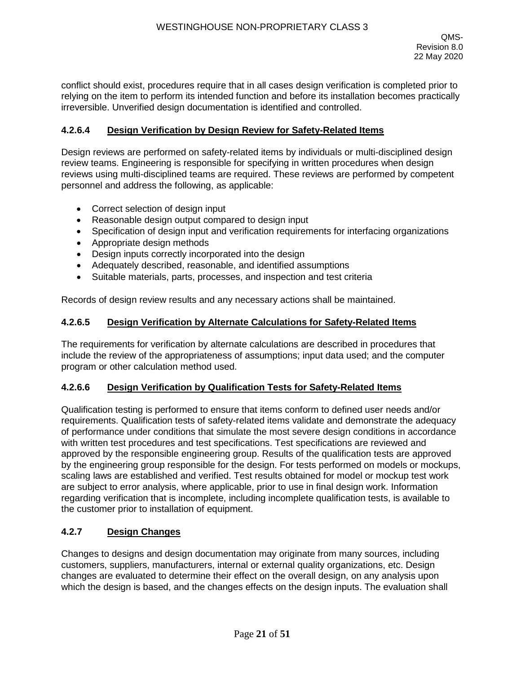conflict should exist, procedures require that in all cases design verification is completed prior to relying on the item to perform its intended function and before its installation becomes practically irreversible. Unverified design documentation is identified and controlled.

### **4.2.6.4 Design Verification by Design Review for Safety-Related Items**

Design reviews are performed on safety-related items by individuals or multi-disciplined design review teams. Engineering is responsible for specifying in written procedures when design reviews using multi-disciplined teams are required. These reviews are performed by competent personnel and address the following, as applicable:

- Correct selection of design input
- Reasonable design output compared to design input
- Specification of design input and verification requirements for interfacing organizations
- Appropriate design methods
- Design inputs correctly incorporated into the design
- Adequately described, reasonable, and identified assumptions
- Suitable materials, parts, processes, and inspection and test criteria

Records of design review results and any necessary actions shall be maintained.

### **4.2.6.5 Design Verification by Alternate Calculations for Safety-Related Items**

The requirements for verification by alternate calculations are described in procedures that include the review of the appropriateness of assumptions; input data used; and the computer program or other calculation method used.

### **4.2.6.6 Design Verification by Qualification Tests for Safety-Related Items**

Qualification testing is performed to ensure that items conform to defined user needs and/or requirements. Qualification tests of safety-related items validate and demonstrate the adequacy of performance under conditions that simulate the most severe design conditions in accordance with written test procedures and test specifications. Test specifications are reviewed and approved by the responsible engineering group. Results of the qualification tests are approved by the engineering group responsible for the design. For tests performed on models or mockups, scaling laws are established and verified. Test results obtained for model or mockup test work are subject to error analysis, where applicable, prior to use in final design work. Information regarding verification that is incomplete, including incomplete qualification tests, is available to the customer prior to installation of equipment.

## **4.2.7 Design Changes**

Changes to designs and design documentation may originate from many sources, including customers, suppliers, manufacturers, internal or external quality organizations, etc. Design changes are evaluated to determine their effect on the overall design, on any analysis upon which the design is based, and the changes effects on the design inputs. The evaluation shall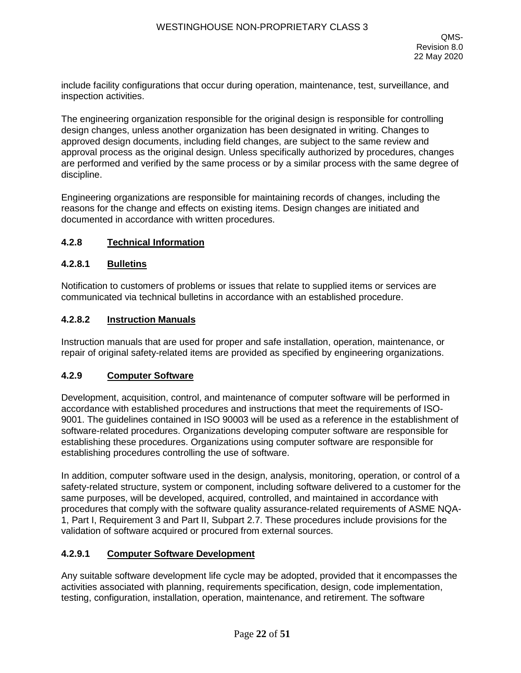include facility configurations that occur during operation, maintenance, test, surveillance, and inspection activities.

The engineering organization responsible for the original design is responsible for controlling design changes, unless another organization has been designated in writing. Changes to approved design documents, including field changes, are subject to the same review and approval process as the original design. Unless specifically authorized by procedures, changes are performed and verified by the same process or by a similar process with the same degree of discipline.

Engineering organizations are responsible for maintaining records of changes, including the reasons for the change and effects on existing items. Design changes are initiated and documented in accordance with written procedures.

### **4.2.8 Technical Information**

#### **4.2.8.1 Bulletins**

Notification to customers of problems or issues that relate to supplied items or services are communicated via technical bulletins in accordance with an established procedure.

#### **4.2.8.2 Instruction Manuals**

Instruction manuals that are used for proper and safe installation, operation, maintenance, or repair of original safety-related items are provided as specified by engineering organizations.

#### **4.2.9 Computer Software**

Development, acquisition, control, and maintenance of computer software will be performed in accordance with established procedures and instructions that meet the requirements of ISO-9001. The guidelines contained in ISO 90003 will be used as a reference in the establishment of software-related procedures. Organizations developing computer software are responsible for establishing these procedures. Organizations using computer software are responsible for establishing procedures controlling the use of software.

In addition, computer software used in the design, analysis, monitoring, operation, or control of a safety-related structure, system or component, including software delivered to a customer for the same purposes, will be developed, acquired, controlled, and maintained in accordance with procedures that comply with the software quality assurance-related requirements of ASME NQA-1, Part I, Requirement 3 and Part II, Subpart 2.7. These procedures include provisions for the validation of software acquired or procured from external sources.

### **4.2.9.1 Computer Software Development**

Any suitable software development life cycle may be adopted, provided that it encompasses the activities associated with planning, requirements specification, design, code implementation, testing, configuration, installation, operation, maintenance, and retirement. The software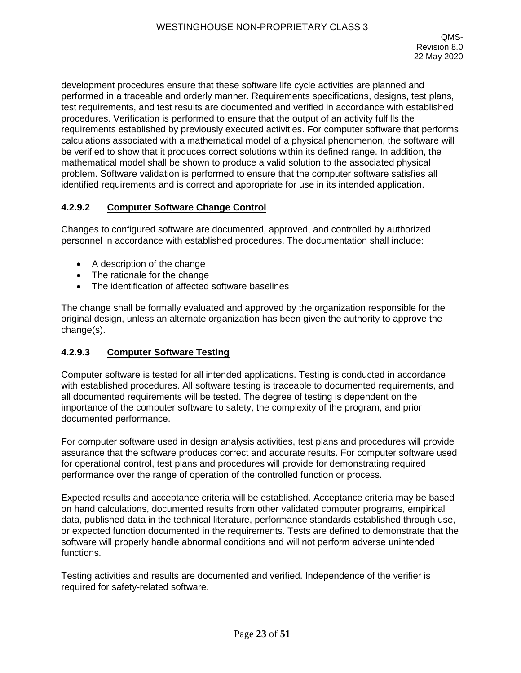development procedures ensure that these software life cycle activities are planned and performed in a traceable and orderly manner. Requirements specifications, designs, test plans, test requirements, and test results are documented and verified in accordance with established procedures. Verification is performed to ensure that the output of an activity fulfills the requirements established by previously executed activities. For computer software that performs calculations associated with a mathematical model of a physical phenomenon, the software will be verified to show that it produces correct solutions within its defined range. In addition, the mathematical model shall be shown to produce a valid solution to the associated physical problem. Software validation is performed to ensure that the computer software satisfies all identified requirements and is correct and appropriate for use in its intended application.

### **4.2.9.2 Computer Software Change Control**

Changes to configured software are documented, approved, and controlled by authorized personnel in accordance with established procedures. The documentation shall include:

- A description of the change
- The rationale for the change
- The identification of affected software baselines

The change shall be formally evaluated and approved by the organization responsible for the original design, unless an alternate organization has been given the authority to approve the change(s).

## **4.2.9.3 Computer Software Testing**

Computer software is tested for all intended applications. Testing is conducted in accordance with established procedures. All software testing is traceable to documented requirements, and all documented requirements will be tested. The degree of testing is dependent on the importance of the computer software to safety, the complexity of the program, and prior documented performance.

For computer software used in design analysis activities, test plans and procedures will provide assurance that the software produces correct and accurate results. For computer software used for operational control, test plans and procedures will provide for demonstrating required performance over the range of operation of the controlled function or process.

Expected results and acceptance criteria will be established. Acceptance criteria may be based on hand calculations, documented results from other validated computer programs, empirical data, published data in the technical literature, performance standards established through use, or expected function documented in the requirements. Tests are defined to demonstrate that the software will properly handle abnormal conditions and will not perform adverse unintended functions.

Testing activities and results are documented and verified. Independence of the verifier is required for safety-related software.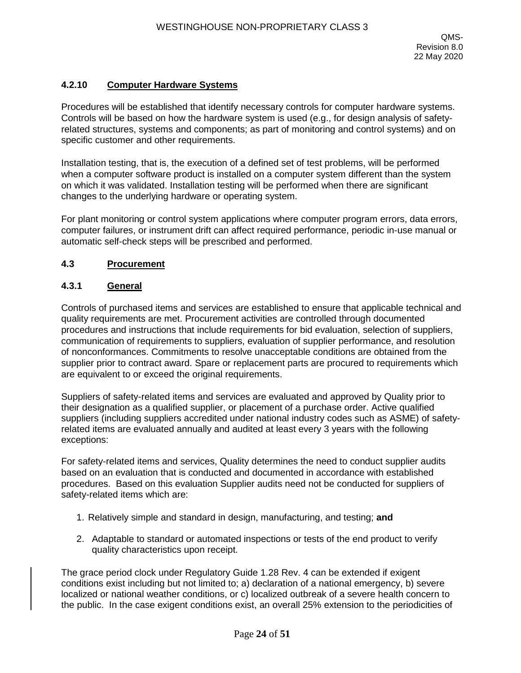## **4.2.10 Computer Hardware Systems**

Procedures will be established that identify necessary controls for computer hardware systems. Controls will be based on how the hardware system is used (e.g., for design analysis of safetyrelated structures, systems and components; as part of monitoring and control systems) and on specific customer and other requirements.

Installation testing, that is, the execution of a defined set of test problems, will be performed when a computer software product is installed on a computer system different than the system on which it was validated. Installation testing will be performed when there are significant changes to the underlying hardware or operating system.

For plant monitoring or control system applications where computer program errors, data errors, computer failures, or instrument drift can affect required performance, periodic in-use manual or automatic self-check steps will be prescribed and performed.

### **4.3 Procurement**

#### **4.3.1 General**

Controls of purchased items and services are established to ensure that applicable technical and quality requirements are met. Procurement activities are controlled through documented procedures and instructions that include requirements for bid evaluation, selection of suppliers, communication of requirements to suppliers, evaluation of supplier performance, and resolution of nonconformances. Commitments to resolve unacceptable conditions are obtained from the supplier prior to contract award. Spare or replacement parts are procured to requirements which are equivalent to or exceed the original requirements.

Suppliers of safety-related items and services are evaluated and approved by Quality prior to their designation as a qualified supplier, or placement of a purchase order. Active qualified suppliers (including suppliers accredited under national industry codes such as ASME) of safetyrelated items are evaluated annually and audited at least every 3 years with the following exceptions:

For safety-related items and services, Quality determines the need to conduct supplier audits based on an evaluation that is conducted and documented in accordance with established procedures. Based on this evaluation Supplier audits need not be conducted for suppliers of safety-related items which are:

- 1. Relatively simple and standard in design, manufacturing, and testing; **and**
- 2. Adaptable to standard or automated inspections or tests of the end product to verify quality characteristics upon receipt.

The grace period clock under Regulatory Guide 1.28 Rev. 4 can be extended if exigent conditions exist including but not limited to; a) declaration of a national emergency, b) severe localized or national weather conditions, or c) localized outbreak of a severe health concern to the public. In the case exigent conditions exist, an overall 25% extension to the periodicities of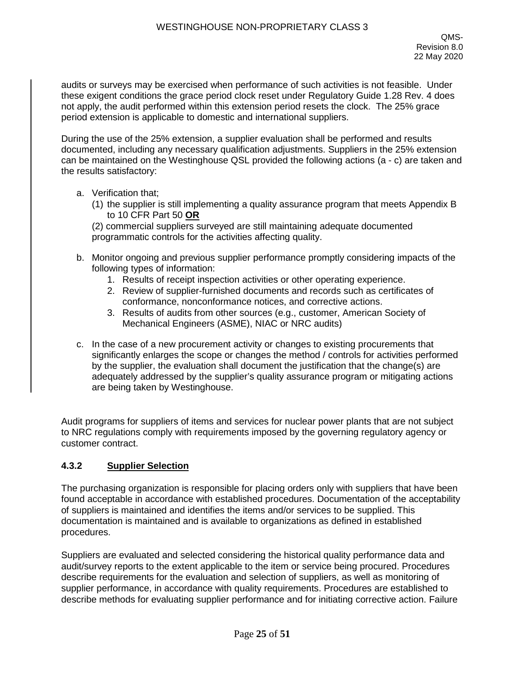audits or surveys may be exercised when performance of such activities is not feasible. Under these exigent conditions the grace period clock reset under Regulatory Guide 1.28 Rev. 4 does not apply, the audit performed within this extension period resets the clock. The 25% grace period extension is applicable to domestic and international suppliers.

During the use of the 25% extension, a supplier evaluation shall be performed and results documented, including any necessary qualification adjustments. Suppliers in the 25% extension can be maintained on the Westinghouse QSL provided the following actions (a - c) are taken and the results satisfactory:

- a. Verification that;
	- (1) the supplier is still implementing a quality assurance program that meets Appendix B to 10 CFR Part 50 **OR**

(2) commercial suppliers surveyed are still maintaining adequate documented programmatic controls for the activities affecting quality.

- b. Monitor ongoing and previous supplier performance promptly considering impacts of the following types of information:
	- 1. Results of receipt inspection activities or other operating experience.
	- 2. Review of supplier-furnished documents and records such as certificates of conformance, nonconformance notices, and corrective actions.
	- 3. Results of audits from other sources (e.g., customer, American Society of Mechanical Engineers (ASME), NIAC or NRC audits)
- c. In the case of a new procurement activity or changes to existing procurements that significantly enlarges the scope or changes the method / controls for activities performed by the supplier, the evaluation shall document the justification that the change(s) are adequately addressed by the supplier's quality assurance program or mitigating actions are being taken by Westinghouse.

Audit programs for suppliers of items and services for nuclear power plants that are not subject to NRC regulations comply with requirements imposed by the governing regulatory agency or customer contract.

### **4.3.2 Supplier Selection**

The purchasing organization is responsible for placing orders only with suppliers that have been found acceptable in accordance with established procedures. Documentation of the acceptability of suppliers is maintained and identifies the items and/or services to be supplied. This documentation is maintained and is available to organizations as defined in established procedures.

Suppliers are evaluated and selected considering the historical quality performance data and audit/survey reports to the extent applicable to the item or service being procured. Procedures describe requirements for the evaluation and selection of suppliers, as well as monitoring of supplier performance, in accordance with quality requirements. Procedures are established to describe methods for evaluating supplier performance and for initiating corrective action. Failure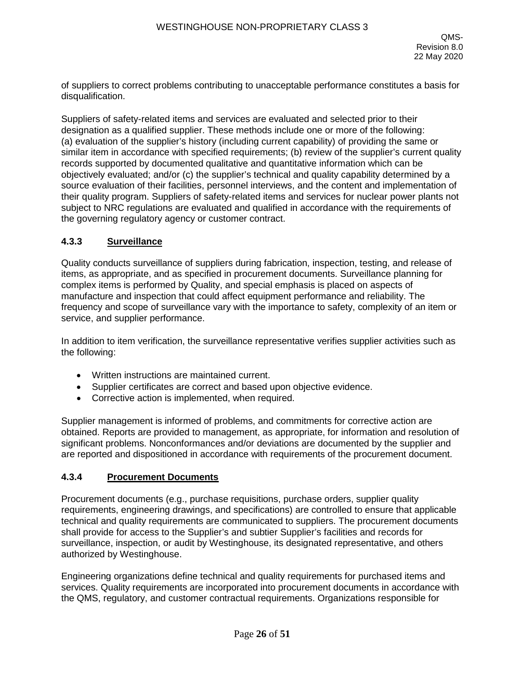of suppliers to correct problems contributing to unacceptable performance constitutes a basis for disqualification.

Suppliers of safety-related items and services are evaluated and selected prior to their designation as a qualified supplier. These methods include one or more of the following: (a) evaluation of the supplier's history (including current capability) of providing the same or similar item in accordance with specified requirements; (b) review of the supplier's current quality records supported by documented qualitative and quantitative information which can be objectively evaluated; and/or (c) the supplier's technical and quality capability determined by a source evaluation of their facilities, personnel interviews, and the content and implementation of their quality program. Suppliers of safety-related items and services for nuclear power plants not subject to NRC regulations are evaluated and qualified in accordance with the requirements of the governing regulatory agency or customer contract.

## **4.3.3 Surveillance**

Quality conducts surveillance of suppliers during fabrication, inspection, testing, and release of items, as appropriate, and as specified in procurement documents. Surveillance planning for complex items is performed by Quality, and special emphasis is placed on aspects of manufacture and inspection that could affect equipment performance and reliability. The frequency and scope of surveillance vary with the importance to safety, complexity of an item or service, and supplier performance.

In addition to item verification, the surveillance representative verifies supplier activities such as the following:

- Written instructions are maintained current.
- Supplier certificates are correct and based upon objective evidence.
- Corrective action is implemented, when required.

Supplier management is informed of problems, and commitments for corrective action are obtained. Reports are provided to management, as appropriate, for information and resolution of significant problems. Nonconformances and/or deviations are documented by the supplier and are reported and dispositioned in accordance with requirements of the procurement document.

## **4.3.4 Procurement Documents**

Procurement documents (e.g., purchase requisitions, purchase orders, supplier quality requirements, engineering drawings, and specifications) are controlled to ensure that applicable technical and quality requirements are communicated to suppliers. The procurement documents shall provide for access to the Supplier's and subtier Supplier's facilities and records for surveillance, inspection, or audit by Westinghouse, its designated representative, and others authorized by Westinghouse.

Engineering organizations define technical and quality requirements for purchased items and services. Quality requirements are incorporated into procurement documents in accordance with the QMS, regulatory, and customer contractual requirements. Organizations responsible for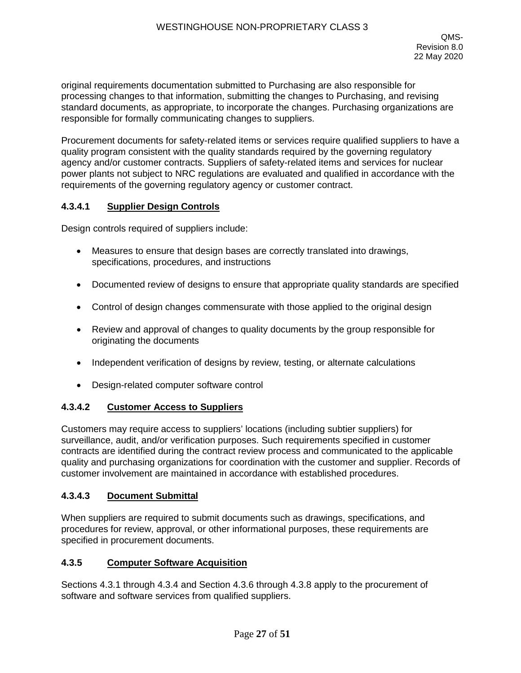original requirements documentation submitted to Purchasing are also responsible for processing changes to that information, submitting the changes to Purchasing, and revising standard documents, as appropriate, to incorporate the changes. Purchasing organizations are responsible for formally communicating changes to suppliers.

Procurement documents for safety-related items or services require qualified suppliers to have a quality program consistent with the quality standards required by the governing regulatory agency and/or customer contracts. Suppliers of safety-related items and services for nuclear power plants not subject to NRC regulations are evaluated and qualified in accordance with the requirements of the governing regulatory agency or customer contract.

## **4.3.4.1 Supplier Design Controls**

Design controls required of suppliers include:

- Measures to ensure that design bases are correctly translated into drawings, specifications, procedures, and instructions
- Documented review of designs to ensure that appropriate quality standards are specified
- Control of design changes commensurate with those applied to the original design
- Review and approval of changes to quality documents by the group responsible for originating the documents
- Independent verification of designs by review, testing, or alternate calculations
- Design-related computer software control

## **4.3.4.2 Customer Access to Suppliers**

Customers may require access to suppliers' locations (including subtier suppliers) for surveillance, audit, and/or verification purposes. Such requirements specified in customer contracts are identified during the contract review process and communicated to the applicable quality and purchasing organizations for coordination with the customer and supplier. Records of customer involvement are maintained in accordance with established procedures.

## **4.3.4.3 Document Submittal**

When suppliers are required to submit documents such as drawings, specifications, and procedures for review, approval, or other informational purposes, these requirements are specified in procurement documents.

### **4.3.5 Computer Software Acquisition**

Sections 4.3.1 through 4.3.4 and Section 4.3.6 through 4.3.8 apply to the procurement of software and software services from qualified suppliers.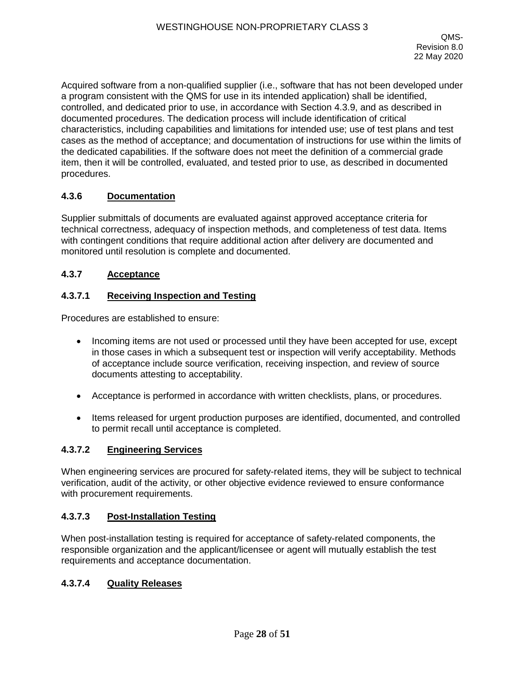Acquired software from a non-qualified supplier (i.e., software that has not been developed under a program consistent with the QMS for use in its intended application) shall be identified, controlled, and dedicated prior to use, in accordance with Section 4.3.9, and as described in documented procedures. The dedication process will include identification of critical characteristics, including capabilities and limitations for intended use; use of test plans and test cases as the method of acceptance; and documentation of instructions for use within the limits of the dedicated capabilities. If the software does not meet the definition of a commercial grade item, then it will be controlled, evaluated, and tested prior to use, as described in documented procedures.

## **4.3.6 Documentation**

Supplier submittals of documents are evaluated against approved acceptance criteria for technical correctness, adequacy of inspection methods, and completeness of test data. Items with contingent conditions that require additional action after delivery are documented and monitored until resolution is complete and documented.

### **4.3.7 Acceptance**

### **4.3.7.1 Receiving Inspection and Testing**

Procedures are established to ensure:

- Incoming items are not used or processed until they have been accepted for use, except in those cases in which a subsequent test or inspection will verify acceptability. Methods of acceptance include source verification, receiving inspection, and review of source documents attesting to acceptability.
- Acceptance is performed in accordance with written checklists, plans, or procedures.
- Items released for urgent production purposes are identified, documented, and controlled to permit recall until acceptance is completed.

## **4.3.7.2 Engineering Services**

When engineering services are procured for safety-related items, they will be subject to technical verification, audit of the activity, or other objective evidence reviewed to ensure conformance with procurement requirements.

### **4.3.7.3 Post-Installation Testing**

When post-installation testing is required for acceptance of safety-related components, the responsible organization and the applicant/licensee or agent will mutually establish the test requirements and acceptance documentation.

#### **4.3.7.4 Quality Releases**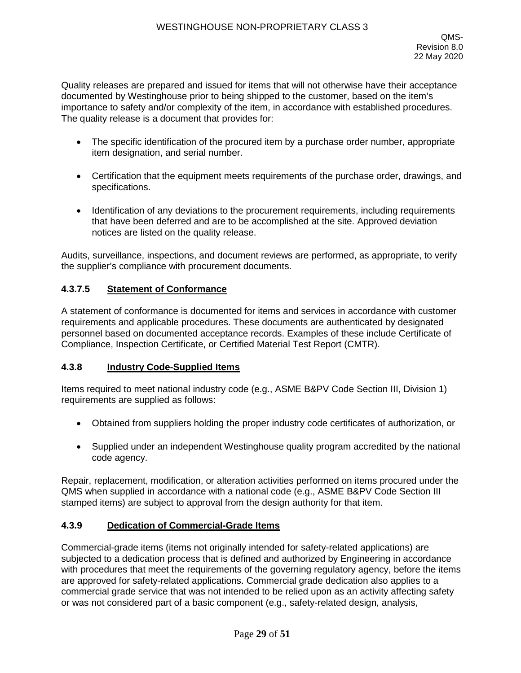Quality releases are prepared and issued for items that will not otherwise have their acceptance documented by Westinghouse prior to being shipped to the customer, based on the item's importance to safety and/or complexity of the item, in accordance with established procedures. The quality release is a document that provides for:

- The specific identification of the procured item by a purchase order number, appropriate item designation, and serial number.
- Certification that the equipment meets requirements of the purchase order, drawings, and specifications.
- Identification of any deviations to the procurement requirements, including requirements that have been deferred and are to be accomplished at the site. Approved deviation notices are listed on the quality release.

Audits, surveillance, inspections, and document reviews are performed, as appropriate, to verify the supplier's compliance with procurement documents.

### **4.3.7.5 Statement of Conformance**

A statement of conformance is documented for items and services in accordance with customer requirements and applicable procedures. These documents are authenticated by designated personnel based on documented acceptance records. Examples of these include Certificate of Compliance, Inspection Certificate, or Certified Material Test Report (CMTR).

### **4.3.8 Industry Code-Supplied Items**

Items required to meet national industry code (e.g., ASME B&PV Code Section III, Division 1) requirements are supplied as follows:

- Obtained from suppliers holding the proper industry code certificates of authorization, or
- Supplied under an independent Westinghouse quality program accredited by the national code agency.

Repair, replacement, modification, or alteration activities performed on items procured under the QMS when supplied in accordance with a national code (e.g., ASME B&PV Code Section III stamped items) are subject to approval from the design authority for that item.

### **4.3.9 Dedication of Commercial-Grade Items**

Commercial-grade items (items not originally intended for safety-related applications) are subjected to a dedication process that is defined and authorized by Engineering in accordance with procedures that meet the requirements of the governing regulatory agency, before the items are approved for safety-related applications. Commercial grade dedication also applies to a commercial grade service that was not intended to be relied upon as an activity affecting safety or was not considered part of a basic component (e.g., safety-related design, analysis,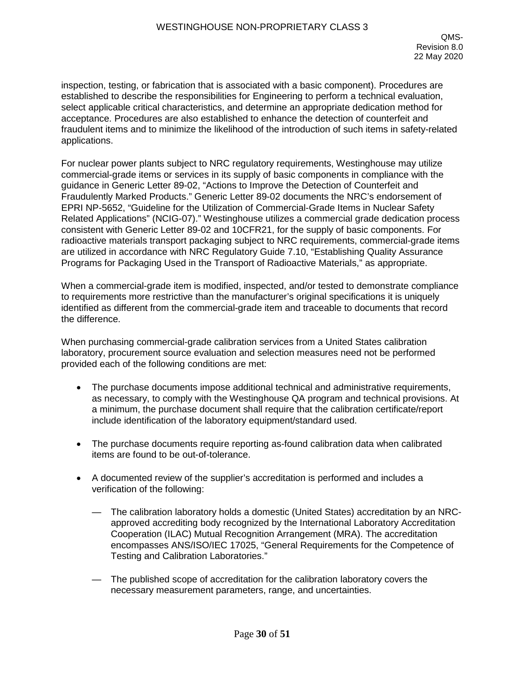inspection, testing, or fabrication that is associated with a basic component). Procedures are established to describe the responsibilities for Engineering to perform a technical evaluation, select applicable critical characteristics, and determine an appropriate dedication method for acceptance. Procedures are also established to enhance the detection of counterfeit and fraudulent items and to minimize the likelihood of the introduction of such items in safety-related applications.

For nuclear power plants subject to NRC regulatory requirements, Westinghouse may utilize commercial-grade items or services in its supply of basic components in compliance with the guidance in Generic Letter 89-02, "Actions to Improve the Detection of Counterfeit and Fraudulently Marked Products." Generic Letter 89-02 documents the NRC's endorsement of EPRI NP-5652, "Guideline for the Utilization of Commercial-Grade Items in Nuclear Safety Related Applications" (NCIG-07)." Westinghouse utilizes a commercial grade dedication process consistent with Generic Letter 89-02 and 10CFR21, for the supply of basic components. For radioactive materials transport packaging subject to NRC requirements, commercial-grade items are utilized in accordance with NRC Regulatory Guide 7.10, "Establishing Quality Assurance Programs for Packaging Used in the Transport of Radioactive Materials," as appropriate.

When a commercial-grade item is modified, inspected, and/or tested to demonstrate compliance to requirements more restrictive than the manufacturer's original specifications it is uniquely identified as different from the commercial-grade item and traceable to documents that record the difference.

When purchasing commercial-grade calibration services from a United States calibration laboratory, procurement source evaluation and selection measures need not be performed provided each of the following conditions are met:

- The purchase documents impose additional technical and administrative requirements, as necessary, to comply with the Westinghouse QA program and technical provisions. At a minimum, the purchase document shall require that the calibration certificate/report include identification of the laboratory equipment/standard used.
- The purchase documents require reporting as-found calibration data when calibrated items are found to be out-of-tolerance.
- A documented review of the supplier's accreditation is performed and includes a verification of the following:
	- The calibration laboratory holds a domestic (United States) accreditation by an NRCapproved accrediting body recognized by the International Laboratory Accreditation Cooperation (ILAC) Mutual Recognition Arrangement (MRA). The accreditation encompasses ANS/ISO/IEC 17025, "General Requirements for the Competence of Testing and Calibration Laboratories."
	- The published scope of accreditation for the calibration laboratory covers the necessary measurement parameters, range, and uncertainties.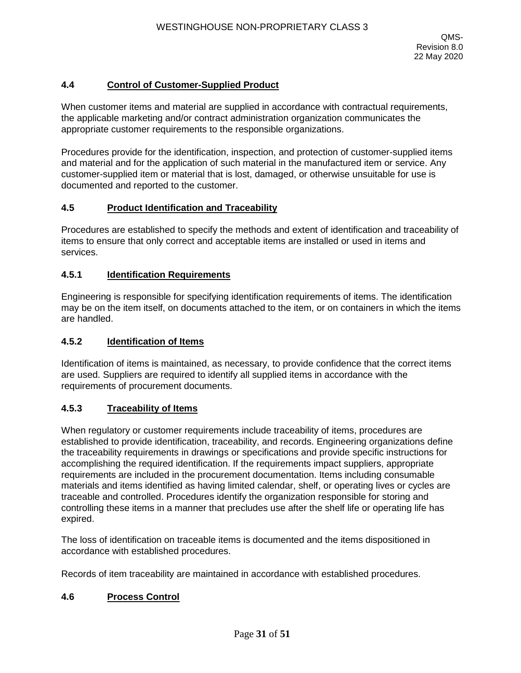## **4.4 Control of Customer-Supplied Product**

When customer items and material are supplied in accordance with contractual requirements, the applicable marketing and/or contract administration organization communicates the appropriate customer requirements to the responsible organizations.

Procedures provide for the identification, inspection, and protection of customer-supplied items and material and for the application of such material in the manufactured item or service. Any customer-supplied item or material that is lost, damaged, or otherwise unsuitable for use is documented and reported to the customer.

### **4.5 Product Identification and Traceability**

Procedures are established to specify the methods and extent of identification and traceability of items to ensure that only correct and acceptable items are installed or used in items and services.

### **4.5.1 Identification Requirements**

Engineering is responsible for specifying identification requirements of items. The identification may be on the item itself, on documents attached to the item, or on containers in which the items are handled.

#### **4.5.2 Identification of Items**

Identification of items is maintained, as necessary, to provide confidence that the correct items are used. Suppliers are required to identify all supplied items in accordance with the requirements of procurement documents.

### **4.5.3 Traceability of Items**

When regulatory or customer requirements include traceability of items, procedures are established to provide identification, traceability, and records. Engineering organizations define the traceability requirements in drawings or specifications and provide specific instructions for accomplishing the required identification. If the requirements impact suppliers, appropriate requirements are included in the procurement documentation. Items including consumable materials and items identified as having limited calendar, shelf, or operating lives or cycles are traceable and controlled. Procedures identify the organization responsible for storing and controlling these items in a manner that precludes use after the shelf life or operating life has expired.

The loss of identification on traceable items is documented and the items dispositioned in accordance with established procedures.

Records of item traceability are maintained in accordance with established procedures.

### **4.6 Process Control**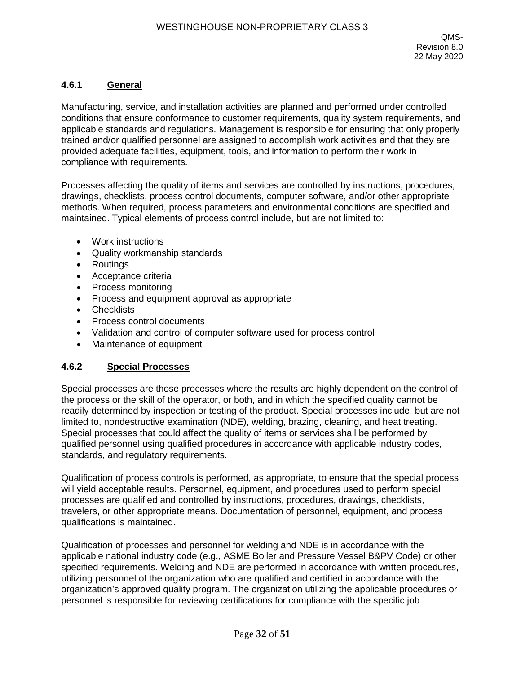## **4.6.1 General**

Manufacturing, service, and installation activities are planned and performed under controlled conditions that ensure conformance to customer requirements, quality system requirements, and applicable standards and regulations. Management is responsible for ensuring that only properly trained and/or qualified personnel are assigned to accomplish work activities and that they are provided adequate facilities, equipment, tools, and information to perform their work in compliance with requirements.

Processes affecting the quality of items and services are controlled by instructions, procedures, drawings, checklists, process control documents, computer software, and/or other appropriate methods. When required, process parameters and environmental conditions are specified and maintained. Typical elements of process control include, but are not limited to:

- Work instructions
- Quality workmanship standards
- Routings
- Acceptance criteria
- Process monitoring
- Process and equipment approval as appropriate
- Checklists
- Process control documents
- Validation and control of computer software used for process control
- Maintenance of equipment

### **4.6.2 Special Processes**

Special processes are those processes where the results are highly dependent on the control of the process or the skill of the operator, or both, and in which the specified quality cannot be readily determined by inspection or testing of the product. Special processes include, but are not limited to, nondestructive examination (NDE), welding, brazing, cleaning, and heat treating. Special processes that could affect the quality of items or services shall be performed by qualified personnel using qualified procedures in accordance with applicable industry codes, standards, and regulatory requirements.

Qualification of process controls is performed, as appropriate, to ensure that the special process will yield acceptable results. Personnel, equipment, and procedures used to perform special processes are qualified and controlled by instructions, procedures, drawings, checklists, travelers, or other appropriate means. Documentation of personnel, equipment, and process qualifications is maintained.

Qualification of processes and personnel for welding and NDE is in accordance with the applicable national industry code (e.g., ASME Boiler and Pressure Vessel B&PV Code) or other specified requirements. Welding and NDE are performed in accordance with written procedures, utilizing personnel of the organization who are qualified and certified in accordance with the organization's approved quality program. The organization utilizing the applicable procedures or personnel is responsible for reviewing certifications for compliance with the specific job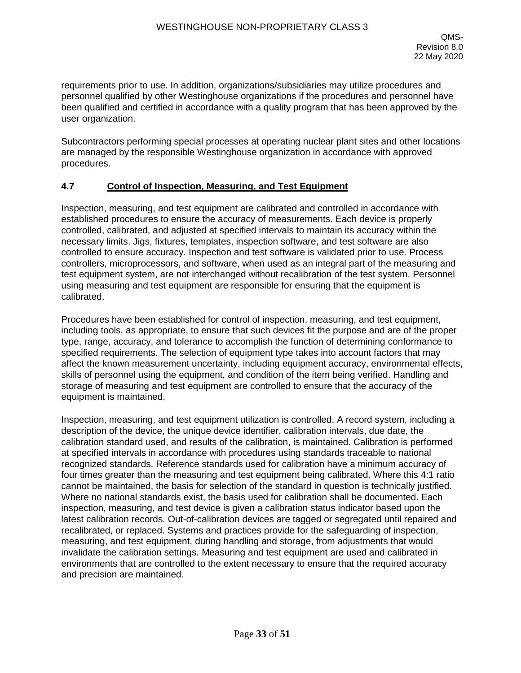requirements prior to use. In addition, organizations/subsidiaries may utilize procedures and personnel qualified by other Westinghouse organizations if the procedures and personnel have been qualified and certified in accordance with a quality program that has been approved by the user organization.

Subcontractors performing special processes at operating nuclear plant sites and other locations are managed by the responsible Westinghouse organization in accordance with approved procedures.

#### **4.7 Control of Inspection, Measuring, and Test Equipment**

Inspection, measuring, and test equipment are calibrated and controlled in accordance with established procedures to ensure the accuracy of measurements. Each device is properly controlled, calibrated, and adjusted at specified intervals to maintain its accuracy within the necessary limits. Jigs, fixtures, templates, inspection software, and test software are also controlled to ensure accuracy. Inspection and test software is validated prior to use. Process controllers, microprocessors, and software, when used as an integral part of the measuring and test equipment system, are not interchanged without recalibration of the test system. Personnel using measuring and test equipment are responsible for ensuring that the equipment is calibrated.

Procedures have been established for control of inspection, measuring, and test equipment, including tools, as appropriate, to ensure that such devices fit the purpose and are of the proper type, range, accuracy, and tolerance to accomplish the function of determining conformance to specified requirements. The selection of equipment type takes into account factors that may affect the known measurement uncertainty, including equipment accuracy, environmental effects, skills of personnel using the equipment, and condition of the item being verified. Handling and storage of measuring and test equipment are controlled to ensure that the accuracy of the equipment is maintained.

Inspection, measuring, and test equipment utilization is controlled. A record system, including a description of the device, the unique device identifier, calibration intervals, due date, the calibration standard used, and results of the calibration, is maintained. Calibration is performed at specified intervals in accordance with procedures using standards traceable to national recognized standards. Reference standards used for calibration have a minimum accuracy of four times greater than the measuring and test equipment being calibrated. Where this 4:1 ratio cannot be maintained, the basis for selection of the standard in question is technically justified. Where no national standards exist, the basis used for calibration shall be documented. Each inspection, measuring, and test device is given a calibration status indicator based upon the latest calibration records. Out-of-calibration devices are tagged or segregated until repaired and recalibrated, or replaced. Systems and practices provide for the safeguarding of inspection, measuring, and test equipment, during handling and storage, from adjustments that would invalidate the calibration settings. Measuring and test equipment are used and calibrated in environments that are controlled to the extent necessary to ensure that the required accuracy and precision are maintained.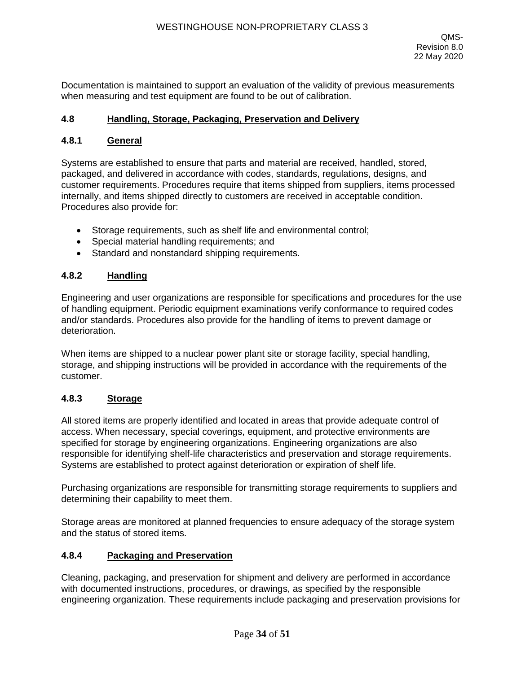Documentation is maintained to support an evaluation of the validity of previous measurements when measuring and test equipment are found to be out of calibration.

#### **4.8 Handling, Storage, Packaging, Preservation and Delivery**

#### **4.8.1 General**

Systems are established to ensure that parts and material are received, handled, stored, packaged, and delivered in accordance with codes, standards, regulations, designs, and customer requirements. Procedures require that items shipped from suppliers, items processed internally, and items shipped directly to customers are received in acceptable condition. Procedures also provide for:

- Storage requirements, such as shelf life and environmental control;
- Special material handling requirements; and
- Standard and nonstandard shipping requirements.

## **4.8.2 Handling**

Engineering and user organizations are responsible for specifications and procedures for the use of handling equipment. Periodic equipment examinations verify conformance to required codes and/or standards. Procedures also provide for the handling of items to prevent damage or deterioration.

When items are shipped to a nuclear power plant site or storage facility, special handling, storage, and shipping instructions will be provided in accordance with the requirements of the customer.

## **4.8.3 Storage**

All stored items are properly identified and located in areas that provide adequate control of access. When necessary, special coverings, equipment, and protective environments are specified for storage by engineering organizations. Engineering organizations are also responsible for identifying shelf-life characteristics and preservation and storage requirements. Systems are established to protect against deterioration or expiration of shelf life.

Purchasing organizations are responsible for transmitting storage requirements to suppliers and determining their capability to meet them.

Storage areas are monitored at planned frequencies to ensure adequacy of the storage system and the status of stored items.

#### **4.8.4 Packaging and Preservation**

Cleaning, packaging, and preservation for shipment and delivery are performed in accordance with documented instructions, procedures, or drawings, as specified by the responsible engineering organization. These requirements include packaging and preservation provisions for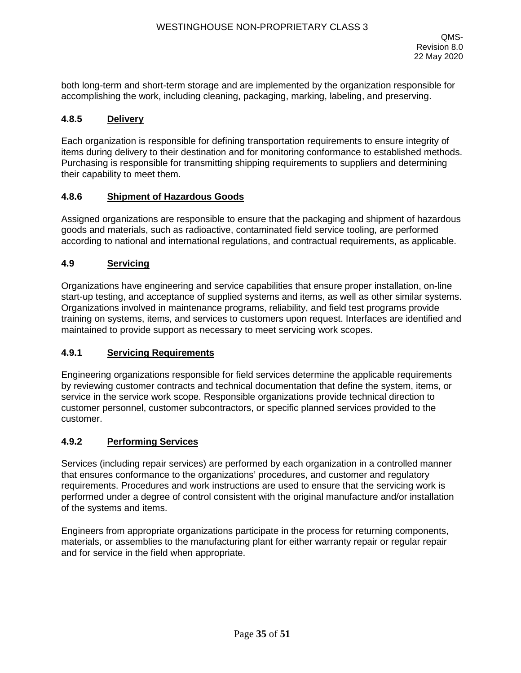both long-term and short-term storage and are implemented by the organization responsible for accomplishing the work, including cleaning, packaging, marking, labeling, and preserving.

#### **4.8.5 Delivery**

Each organization is responsible for defining transportation requirements to ensure integrity of items during delivery to their destination and for monitoring conformance to established methods. Purchasing is responsible for transmitting shipping requirements to suppliers and determining their capability to meet them.

#### **4.8.6 Shipment of Hazardous Goods**

Assigned organizations are responsible to ensure that the packaging and shipment of hazardous goods and materials, such as radioactive, contaminated field service tooling, are performed according to national and international regulations, and contractual requirements, as applicable.

#### **4.9 Servicing**

Organizations have engineering and service capabilities that ensure proper installation, on-line start-up testing, and acceptance of supplied systems and items, as well as other similar systems. Organizations involved in maintenance programs, reliability, and field test programs provide training on systems, items, and services to customers upon request. Interfaces are identified and maintained to provide support as necessary to meet servicing work scopes.

### **4.9.1 Servicing Requirements**

Engineering organizations responsible for field services determine the applicable requirements by reviewing customer contracts and technical documentation that define the system, items, or service in the service work scope. Responsible organizations provide technical direction to customer personnel, customer subcontractors, or specific planned services provided to the customer.

#### **4.9.2 Performing Services**

Services (including repair services) are performed by each organization in a controlled manner that ensures conformance to the organizations' procedures, and customer and regulatory requirements. Procedures and work instructions are used to ensure that the servicing work is performed under a degree of control consistent with the original manufacture and/or installation of the systems and items.

Engineers from appropriate organizations participate in the process for returning components, materials, or assemblies to the manufacturing plant for either warranty repair or regular repair and for service in the field when appropriate.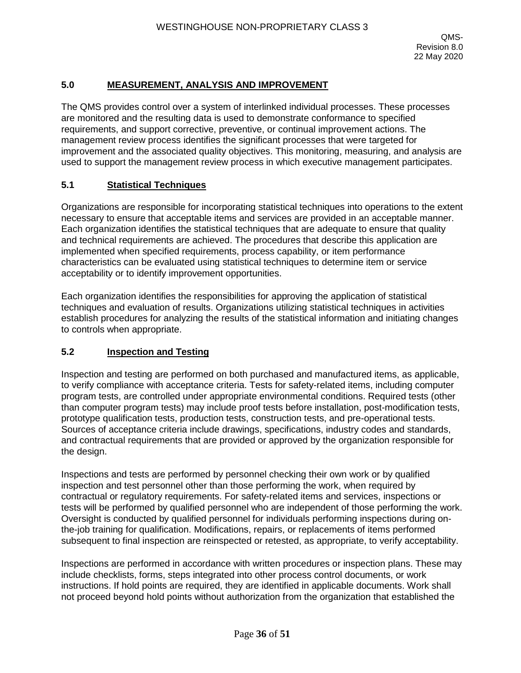## **5.0 MEASUREMENT, ANALYSIS AND IMPROVEMENT**

The QMS provides control over a system of interlinked individual processes. These processes are monitored and the resulting data is used to demonstrate conformance to specified requirements, and support corrective, preventive, or continual improvement actions. The management review process identifies the significant processes that were targeted for improvement and the associated quality objectives. This monitoring, measuring, and analysis are used to support the management review process in which executive management participates.

#### **5.1 Statistical Techniques**

Organizations are responsible for incorporating statistical techniques into operations to the extent necessary to ensure that acceptable items and services are provided in an acceptable manner. Each organization identifies the statistical techniques that are adequate to ensure that quality and technical requirements are achieved. The procedures that describe this application are implemented when specified requirements, process capability, or item performance characteristics can be evaluated using statistical techniques to determine item or service acceptability or to identify improvement opportunities.

Each organization identifies the responsibilities for approving the application of statistical techniques and evaluation of results. Organizations utilizing statistical techniques in activities establish procedures for analyzing the results of the statistical information and initiating changes to controls when appropriate.

## **5.2 Inspection and Testing**

Inspection and testing are performed on both purchased and manufactured items, as applicable, to verify compliance with acceptance criteria. Tests for safety-related items, including computer program tests, are controlled under appropriate environmental conditions. Required tests (other than computer program tests) may include proof tests before installation, post-modification tests, prototype qualification tests, production tests, construction tests, and pre-operational tests. Sources of acceptance criteria include drawings, specifications, industry codes and standards, and contractual requirements that are provided or approved by the organization responsible for the design.

Inspections and tests are performed by personnel checking their own work or by qualified inspection and test personnel other than those performing the work, when required by contractual or regulatory requirements. For safety-related items and services, inspections or tests will be performed by qualified personnel who are independent of those performing the work. Oversight is conducted by qualified personnel for individuals performing inspections during onthe-job training for qualification. Modifications, repairs, or replacements of items performed subsequent to final inspection are reinspected or retested, as appropriate, to verify acceptability.

Inspections are performed in accordance with written procedures or inspection plans. These may include checklists, forms, steps integrated into other process control documents, or work instructions. If hold points are required, they are identified in applicable documents. Work shall not proceed beyond hold points without authorization from the organization that established the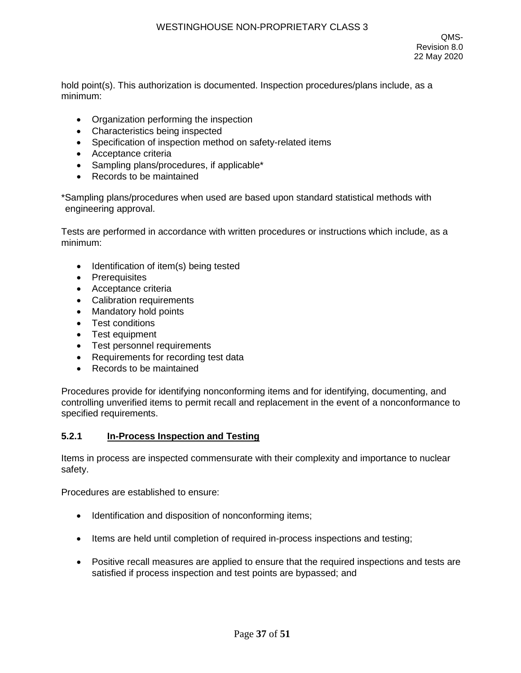hold point(s). This authorization is documented. Inspection procedures/plans include, as a minimum:

- Organization performing the inspection
- Characteristics being inspected
- Specification of inspection method on safety-related items
- Acceptance criteria
- Sampling plans/procedures, if applicable\*
- Records to be maintained

\*Sampling plans/procedures when used are based upon standard statistical methods with engineering approval.

Tests are performed in accordance with written procedures or instructions which include, as a minimum:

- Identification of item(s) being tested
- Prerequisites
- Acceptance criteria
- Calibration requirements
- Mandatory hold points
- Test conditions
- Test equipment
- Test personnel requirements
- Requirements for recording test data
- Records to be maintained

Procedures provide for identifying nonconforming items and for identifying, documenting, and controlling unverified items to permit recall and replacement in the event of a nonconformance to specified requirements.

#### **5.2.1 In-Process Inspection and Testing**

Items in process are inspected commensurate with their complexity and importance to nuclear safety.

Procedures are established to ensure:

- Identification and disposition of nonconforming items;
- Items are held until completion of required in-process inspections and testing;
- Positive recall measures are applied to ensure that the required inspections and tests are satisfied if process inspection and test points are bypassed; and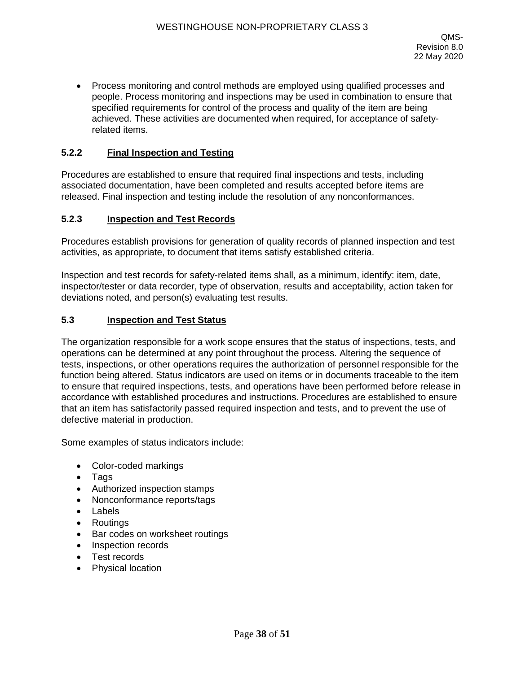• Process monitoring and control methods are employed using qualified processes and people. Process monitoring and inspections may be used in combination to ensure that specified requirements for control of the process and quality of the item are being achieved. These activities are documented when required, for acceptance of safetyrelated items.

### **5.2.2 Final Inspection and Testing**

Procedures are established to ensure that required final inspections and tests, including associated documentation, have been completed and results accepted before items are released. Final inspection and testing include the resolution of any nonconformances.

#### **5.2.3 Inspection and Test Records**

Procedures establish provisions for generation of quality records of planned inspection and test activities, as appropriate, to document that items satisfy established criteria.

Inspection and test records for safety-related items shall, as a minimum, identify: item, date, inspector/tester or data recorder, type of observation, results and acceptability, action taken for deviations noted, and person(s) evaluating test results.

#### **5.3 Inspection and Test Status**

The organization responsible for a work scope ensures that the status of inspections, tests, and operations can be determined at any point throughout the process. Altering the sequence of tests, inspections, or other operations requires the authorization of personnel responsible for the function being altered. Status indicators are used on items or in documents traceable to the item to ensure that required inspections, tests, and operations have been performed before release in accordance with established procedures and instructions. Procedures are established to ensure that an item has satisfactorily passed required inspection and tests, and to prevent the use of defective material in production.

Some examples of status indicators include:

- Color-coded markings
- Tags
- Authorized inspection stamps
- Nonconformance reports/tags
- Labels
- Routings
- Bar codes on worksheet routings
- Inspection records
- Test records
- Physical location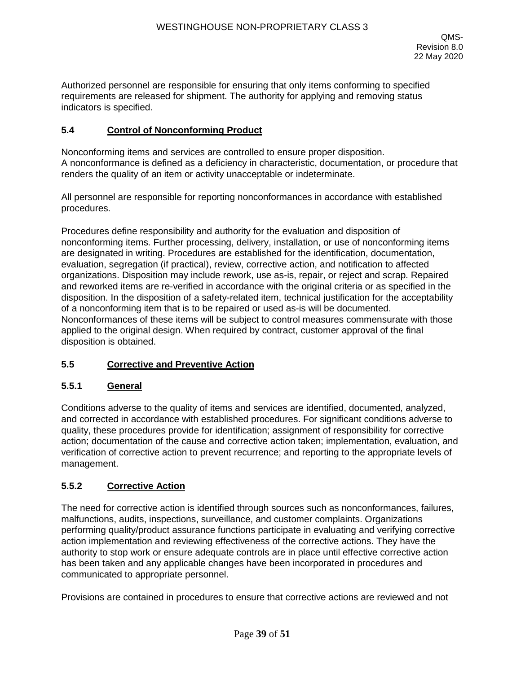Authorized personnel are responsible for ensuring that only items conforming to specified requirements are released for shipment. The authority for applying and removing status indicators is specified.

### **5.4 Control of Nonconforming Product**

Nonconforming items and services are controlled to ensure proper disposition. A nonconformance is defined as a deficiency in characteristic, documentation, or procedure that renders the quality of an item or activity unacceptable or indeterminate.

All personnel are responsible for reporting nonconformances in accordance with established procedures.

Procedures define responsibility and authority for the evaluation and disposition of nonconforming items. Further processing, delivery, installation, or use of nonconforming items are designated in writing. Procedures are established for the identification, documentation, evaluation, segregation (if practical), review, corrective action, and notification to affected organizations. Disposition may include rework, use as-is, repair, or reject and scrap. Repaired and reworked items are re-verified in accordance with the original criteria or as specified in the disposition. In the disposition of a safety-related item, technical justification for the acceptability of a nonconforming item that is to be repaired or used as-is will be documented. Nonconformances of these items will be subject to control measures commensurate with those applied to the original design. When required by contract, customer approval of the final disposition is obtained.

## **5.5 Corrective and Preventive Action**

### **5.5.1 General**

Conditions adverse to the quality of items and services are identified, documented, analyzed, and corrected in accordance with established procedures. For significant conditions adverse to quality, these procedures provide for identification; assignment of responsibility for corrective action; documentation of the cause and corrective action taken; implementation, evaluation, and verification of corrective action to prevent recurrence; and reporting to the appropriate levels of management.

## **5.5.2 Corrective Action**

The need for corrective action is identified through sources such as nonconformances, failures, malfunctions, audits, inspections, surveillance, and customer complaints. Organizations performing quality/product assurance functions participate in evaluating and verifying corrective action implementation and reviewing effectiveness of the corrective actions. They have the authority to stop work or ensure adequate controls are in place until effective corrective action has been taken and any applicable changes have been incorporated in procedures and communicated to appropriate personnel.

Provisions are contained in procedures to ensure that corrective actions are reviewed and not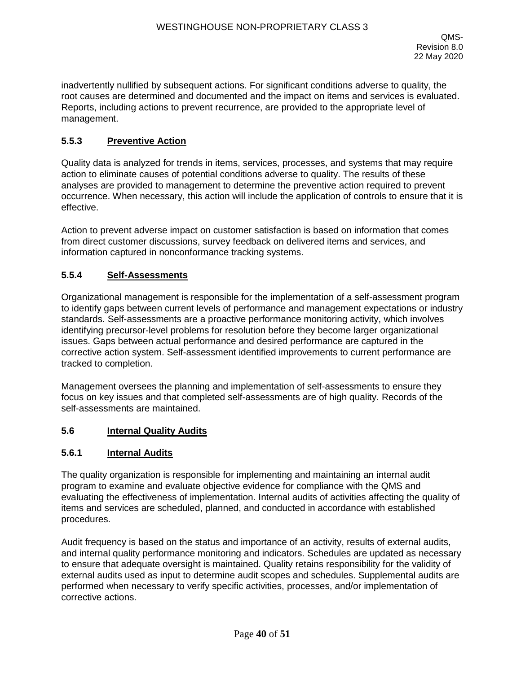inadvertently nullified by subsequent actions. For significant conditions adverse to quality, the root causes are determined and documented and the impact on items and services is evaluated. Reports, including actions to prevent recurrence, are provided to the appropriate level of management.

## **5.5.3 Preventive Action**

Quality data is analyzed for trends in items, services, processes, and systems that may require action to eliminate causes of potential conditions adverse to quality. The results of these analyses are provided to management to determine the preventive action required to prevent occurrence. When necessary, this action will include the application of controls to ensure that it is effective.

Action to prevent adverse impact on customer satisfaction is based on information that comes from direct customer discussions, survey feedback on delivered items and services, and information captured in nonconformance tracking systems.

### **5.5.4 Self-Assessments**

Organizational management is responsible for the implementation of a self-assessment program to identify gaps between current levels of performance and management expectations or industry standards. Self-assessments are a proactive performance monitoring activity, which involves identifying precursor-level problems for resolution before they become larger organizational issues. Gaps between actual performance and desired performance are captured in the corrective action system. Self-assessment identified improvements to current performance are tracked to completion.

Management oversees the planning and implementation of self-assessments to ensure they focus on key issues and that completed self-assessments are of high quality. Records of the self-assessments are maintained.

### **5.6 Internal Quality Audits**

### **5.6.1 Internal Audits**

The quality organization is responsible for implementing and maintaining an internal audit program to examine and evaluate objective evidence for compliance with the QMS and evaluating the effectiveness of implementation. Internal audits of activities affecting the quality of items and services are scheduled, planned, and conducted in accordance with established procedures.

Audit frequency is based on the status and importance of an activity, results of external audits, and internal quality performance monitoring and indicators. Schedules are updated as necessary to ensure that adequate oversight is maintained. Quality retains responsibility for the validity of external audits used as input to determine audit scopes and schedules. Supplemental audits are performed when necessary to verify specific activities, processes, and/or implementation of corrective actions.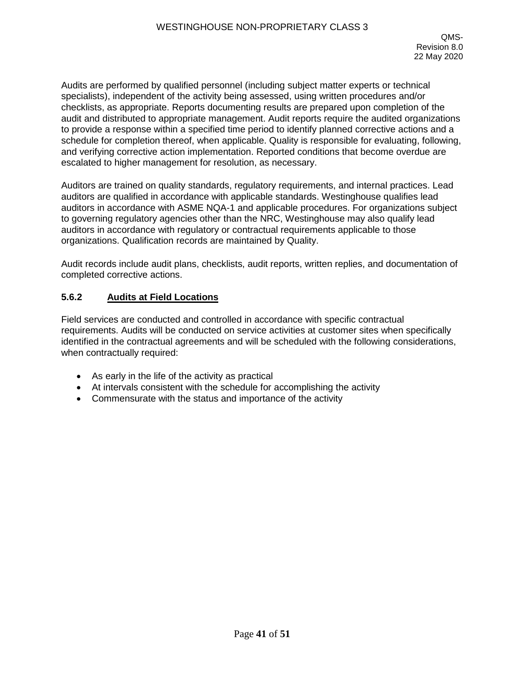Audits are performed by qualified personnel (including subject matter experts or technical specialists), independent of the activity being assessed, using written procedures and/or checklists, as appropriate. Reports documenting results are prepared upon completion of the audit and distributed to appropriate management. Audit reports require the audited organizations to provide a response within a specified time period to identify planned corrective actions and a schedule for completion thereof, when applicable. Quality is responsible for evaluating, following, and verifying corrective action implementation. Reported conditions that become overdue are escalated to higher management for resolution, as necessary.

Auditors are trained on quality standards, regulatory requirements, and internal practices. Lead auditors are qualified in accordance with applicable standards. Westinghouse qualifies lead auditors in accordance with ASME NQA-1 and applicable procedures. For organizations subject to governing regulatory agencies other than the NRC, Westinghouse may also qualify lead auditors in accordance with regulatory or contractual requirements applicable to those organizations. Qualification records are maintained by Quality.

Audit records include audit plans, checklists, audit reports, written replies, and documentation of completed corrective actions.

## **5.6.2 Audits at Field Locations**

Field services are conducted and controlled in accordance with specific contractual requirements. Audits will be conducted on service activities at customer sites when specifically identified in the contractual agreements and will be scheduled with the following considerations, when contractually required:

- As early in the life of the activity as practical
- At intervals consistent with the schedule for accomplishing the activity
- Commensurate with the status and importance of the activity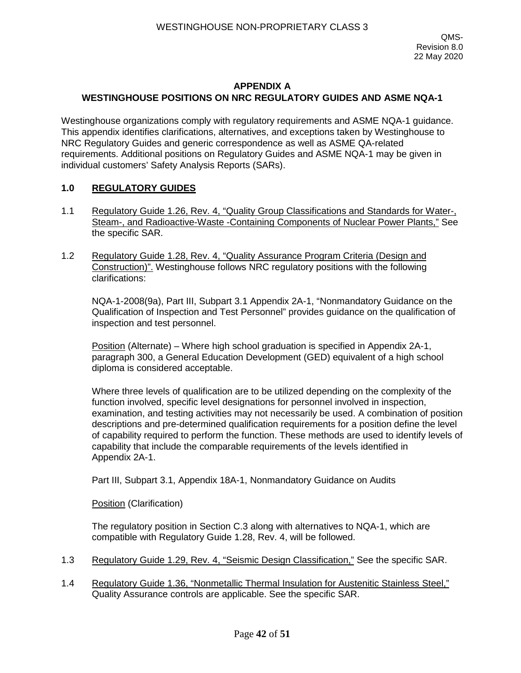Westinghouse organizations comply with regulatory requirements and ASME NQA-1 guidance. This appendix identifies clarifications, alternatives, and exceptions taken by Westinghouse to NRC Regulatory Guides and generic correspondence as well as ASME QA-related requirements. Additional positions on Regulatory Guides and ASME NQA-1 may be given in individual customers' Safety Analysis Reports (SARs).

### **1.0 REGULATORY GUIDES**

- 1.1 Regulatory Guide 1.26, Rev. 4, "Quality Group Classifications and Standards for Water-, Steam-, and Radioactive-Waste -Containing Components of Nuclear Power Plants," See the specific SAR.
- 1.2 Regulatory Guide 1.28, Rev. 4, "Quality Assurance Program Criteria (Design and Construction)". Westinghouse follows NRC regulatory positions with the following clarifications:

NQA-1-2008(9a), Part III, Subpart 3.1 Appendix 2A-1, "Nonmandatory Guidance on the Qualification of Inspection and Test Personnel" provides guidance on the qualification of inspection and test personnel.

Position (Alternate) – Where high school graduation is specified in Appendix 2A-1, paragraph 300, a General Education Development (GED) equivalent of a high school diploma is considered acceptable.

Where three levels of qualification are to be utilized depending on the complexity of the function involved, specific level designations for personnel involved in inspection, examination, and testing activities may not necessarily be used. A combination of position descriptions and pre-determined qualification requirements for a position define the level of capability required to perform the function. These methods are used to identify levels of capability that include the comparable requirements of the levels identified in Appendix 2A-1.

Part III, Subpart 3.1, Appendix 18A-1, Nonmandatory Guidance on Audits

Position (Clarification)

The regulatory position in Section C.3 along with alternatives to NQA-1, which are compatible with Regulatory Guide 1.28, Rev. 4, will be followed.

- 1.3 Regulatory Guide 1.29, Rev. 4, "Seismic Design Classification," See the specific SAR.
- 1.4 Regulatory Guide 1.36, "Nonmetallic Thermal Insulation for Austenitic Stainless Steel," Quality Assurance controls are applicable. See the specific SAR.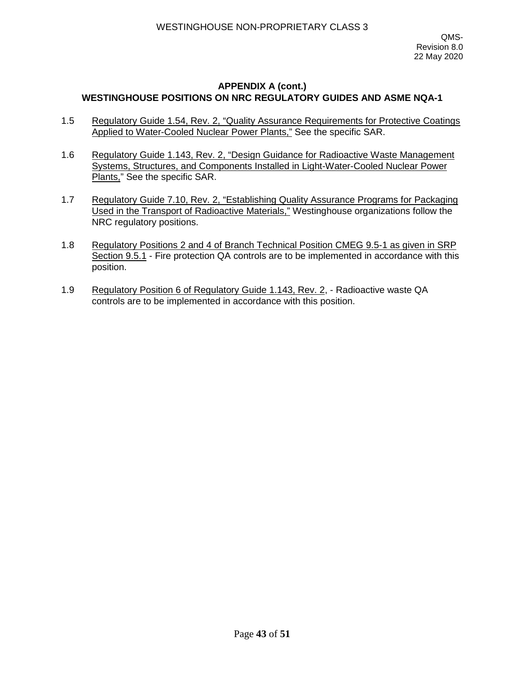- 1.5 Regulatory Guide 1.54, Rev. 2, "Quality Assurance Requirements for Protective Coatings Applied to Water-Cooled Nuclear Power Plants," See the specific SAR.
- 1.6 Regulatory Guide 1.143, Rev. 2, "Design Guidance for Radioactive Waste Management Systems, Structures, and Components Installed in Light-Water-Cooled Nuclear Power Plants," See the specific SAR.
- 1.7 Regulatory Guide 7.10, Rev. 2, "Establishing Quality Assurance Programs for Packaging Used in the Transport of Radioactive Materials," Westinghouse organizations follow the NRC regulatory positions.
- 1.8 Regulatory Positions 2 and 4 of Branch Technical Position CMEG 9.5-1 as given in SRP Section 9.5.1 - Fire protection QA controls are to be implemented in accordance with this position.
- 1.9 Regulatory Position 6 of Regulatory Guide 1.143, Rev. 2, Radioactive waste QA controls are to be implemented in accordance with this position.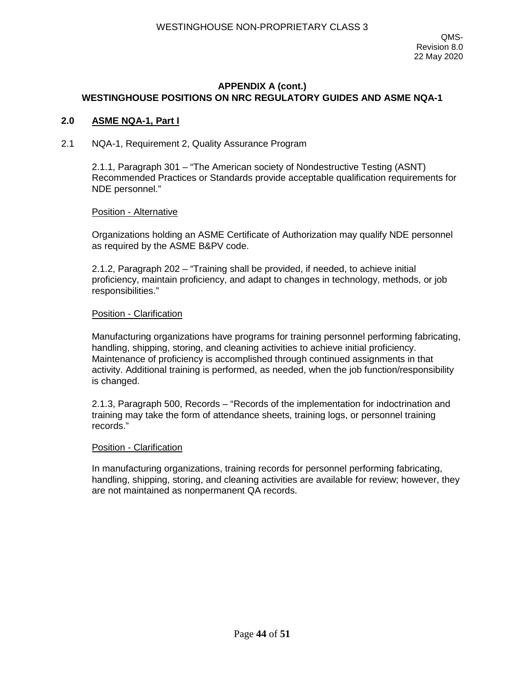#### **2.0 ASME NQA-1, Part I**

#### 2.1 NQA-1, Requirement 2, Quality Assurance Program

2.1.1, Paragraph 301 – "The American society of Nondestructive Testing (ASNT) Recommended Practices or Standards provide acceptable qualification requirements for NDE personnel."

#### Position - Alternative

Organizations holding an ASME Certificate of Authorization may qualify NDE personnel as required by the ASME B&PV code.

2.1.2, Paragraph 202 – "Training shall be provided, if needed, to achieve initial proficiency, maintain proficiency, and adapt to changes in technology, methods, or job responsibilities."

#### Position - Clarification

Manufacturing organizations have programs for training personnel performing fabricating, handling, shipping, storing, and cleaning activities to achieve initial proficiency. Maintenance of proficiency is accomplished through continued assignments in that activity. Additional training is performed, as needed, when the job function/responsibility is changed.

2.1.3, Paragraph 500, Records – "Records of the implementation for indoctrination and training may take the form of attendance sheets, training logs, or personnel training records."

#### Position - Clarification

In manufacturing organizations, training records for personnel performing fabricating, handling, shipping, storing, and cleaning activities are available for review; however, they are not maintained as nonpermanent QA records.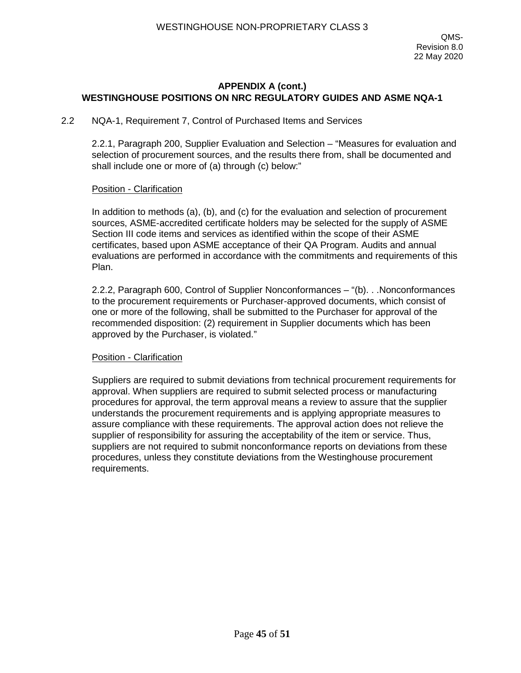#### 2.2 NQA-1, Requirement 7, Control of Purchased Items and Services

2.2.1, Paragraph 200, Supplier Evaluation and Selection – "Measures for evaluation and selection of procurement sources, and the results there from, shall be documented and shall include one or more of (a) through (c) below:"

#### Position - Clarification

In addition to methods (a), (b), and (c) for the evaluation and selection of procurement sources, ASME-accredited certificate holders may be selected for the supply of ASME Section III code items and services as identified within the scope of their ASME certificates, based upon ASME acceptance of their QA Program. Audits and annual evaluations are performed in accordance with the commitments and requirements of this Plan.

2.2.2, Paragraph 600, Control of Supplier Nonconformances – "(b). . .Nonconformances to the procurement requirements or Purchaser-approved documents, which consist of one or more of the following, shall be submitted to the Purchaser for approval of the recommended disposition: (2) requirement in Supplier documents which has been approved by the Purchaser, is violated."

### Position - Clarification

Suppliers are required to submit deviations from technical procurement requirements for approval. When suppliers are required to submit selected process or manufacturing procedures for approval, the term approval means a review to assure that the supplier understands the procurement requirements and is applying appropriate measures to assure compliance with these requirements. The approval action does not relieve the supplier of responsibility for assuring the acceptability of the item or service. Thus, suppliers are not required to submit nonconformance reports on deviations from these procedures, unless they constitute deviations from the Westinghouse procurement requirements.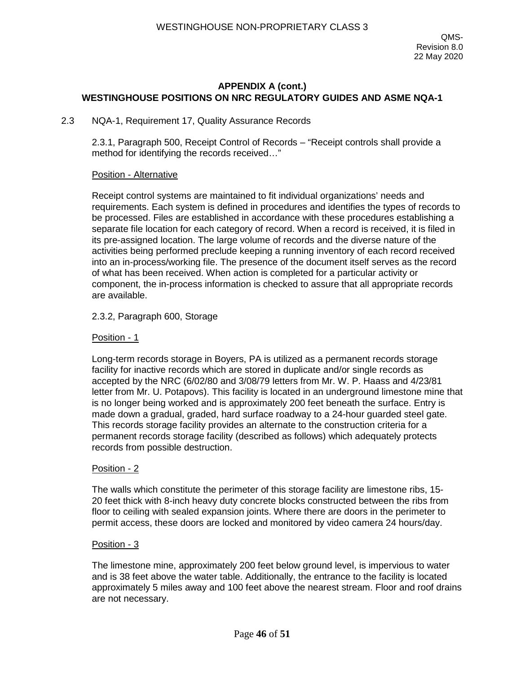#### 2.3 NQA-1, Requirement 17, Quality Assurance Records

2.3.1, Paragraph 500, Receipt Control of Records – "Receipt controls shall provide a method for identifying the records received…"

#### Position - Alternative

Receipt control systems are maintained to fit individual organizations' needs and requirements. Each system is defined in procedures and identifies the types of records to be processed. Files are established in accordance with these procedures establishing a separate file location for each category of record. When a record is received, it is filed in its pre-assigned location. The large volume of records and the diverse nature of the activities being performed preclude keeping a running inventory of each record received into an in-process/working file. The presence of the document itself serves as the record of what has been received. When action is completed for a particular activity or component, the in-process information is checked to assure that all appropriate records are available.

#### 2.3.2, Paragraph 600, Storage

#### Position - 1

Long-term records storage in Boyers, PA is utilized as a permanent records storage facility for inactive records which are stored in duplicate and/or single records as accepted by the NRC (6/02/80 and 3/08/79 letters from Mr. W. P. Haass and 4/23/81 letter from Mr. U. Potapovs). This facility is located in an underground limestone mine that is no longer being worked and is approximately 200 feet beneath the surface. Entry is made down a gradual, graded, hard surface roadway to a 24-hour guarded steel gate. This records storage facility provides an alternate to the construction criteria for a permanent records storage facility (described as follows) which adequately protects records from possible destruction.

#### Position - 2

The walls which constitute the perimeter of this storage facility are limestone ribs, 15- 20 feet thick with 8-inch heavy duty concrete blocks constructed between the ribs from floor to ceiling with sealed expansion joints. Where there are doors in the perimeter to permit access, these doors are locked and monitored by video camera 24 hours/day.

#### Position - 3

The limestone mine, approximately 200 feet below ground level, is impervious to water and is 38 feet above the water table. Additionally, the entrance to the facility is located approximately 5 miles away and 100 feet above the nearest stream. Floor and roof drains are not necessary.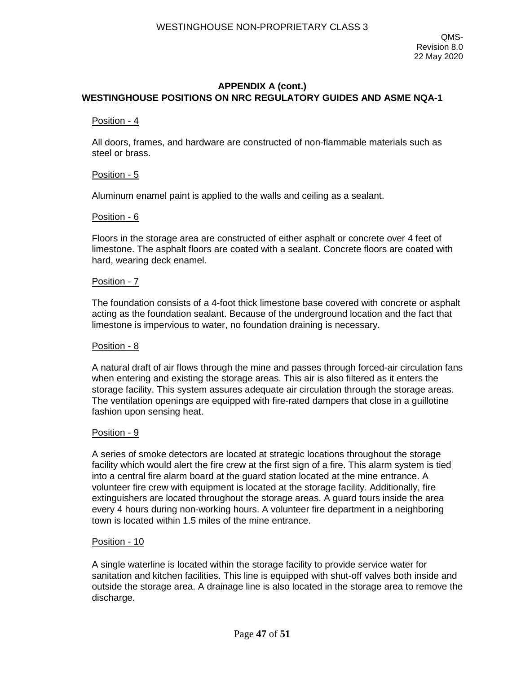#### Position - 4

All doors, frames, and hardware are constructed of non-flammable materials such as steel or brass.

#### Position - 5

Aluminum enamel paint is applied to the walls and ceiling as a sealant.

#### Position - 6

Floors in the storage area are constructed of either asphalt or concrete over 4 feet of limestone. The asphalt floors are coated with a sealant. Concrete floors are coated with hard, wearing deck enamel.

#### Position - 7

The foundation consists of a 4-foot thick limestone base covered with concrete or asphalt acting as the foundation sealant. Because of the underground location and the fact that limestone is impervious to water, no foundation draining is necessary.

#### Position - 8

A natural draft of air flows through the mine and passes through forced-air circulation fans when entering and existing the storage areas. This air is also filtered as it enters the storage facility. This system assures adequate air circulation through the storage areas. The ventilation openings are equipped with fire-rated dampers that close in a guillotine fashion upon sensing heat.

#### Position - 9

A series of smoke detectors are located at strategic locations throughout the storage facility which would alert the fire crew at the first sign of a fire. This alarm system is tied into a central fire alarm board at the guard station located at the mine entrance. A volunteer fire crew with equipment is located at the storage facility. Additionally, fire extinguishers are located throughout the storage areas. A guard tours inside the area every 4 hours during non-working hours. A volunteer fire department in a neighboring town is located within 1.5 miles of the mine entrance.

#### Position - 10

A single waterline is located within the storage facility to provide service water for sanitation and kitchen facilities. This line is equipped with shut-off valves both inside and outside the storage area. A drainage line is also located in the storage area to remove the discharge.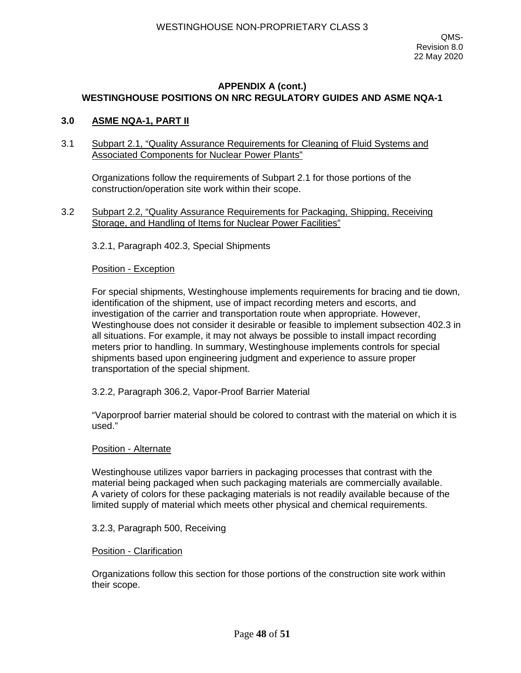#### **3.0 ASME NQA-1, PART II**

#### 3.1 Subpart 2.1, "Quality Assurance Requirements for Cleaning of Fluid Systems and Associated Components for Nuclear Power Plants"

Organizations follow the requirements of Subpart 2.1 for those portions of the construction/operation site work within their scope.

3.2 Subpart 2.2, "Quality Assurance Requirements for Packaging, Shipping, Receiving Storage, and Handling of Items for Nuclear Power Facilities"

3.2.1, Paragraph 402.3, Special Shipments

#### Position - Exception

For special shipments, Westinghouse implements requirements for bracing and tie down, identification of the shipment, use of impact recording meters and escorts, and investigation of the carrier and transportation route when appropriate. However, Westinghouse does not consider it desirable or feasible to implement subsection 402.3 in all situations. For example, it may not always be possible to install impact recording meters prior to handling. In summary, Westinghouse implements controls for special shipments based upon engineering judgment and experience to assure proper transportation of the special shipment.

3.2.2, Paragraph 306.2, Vapor-Proof Barrier Material

"Vaporproof barrier material should be colored to contrast with the material on which it is used."

#### Position - Alternate

Westinghouse utilizes vapor barriers in packaging processes that contrast with the material being packaged when such packaging materials are commercially available. A variety of colors for these packaging materials is not readily available because of the limited supply of material which meets other physical and chemical requirements.

#### 3.2.3, Paragraph 500, Receiving

#### Position - Clarification

Organizations follow this section for those portions of the construction site work within their scope.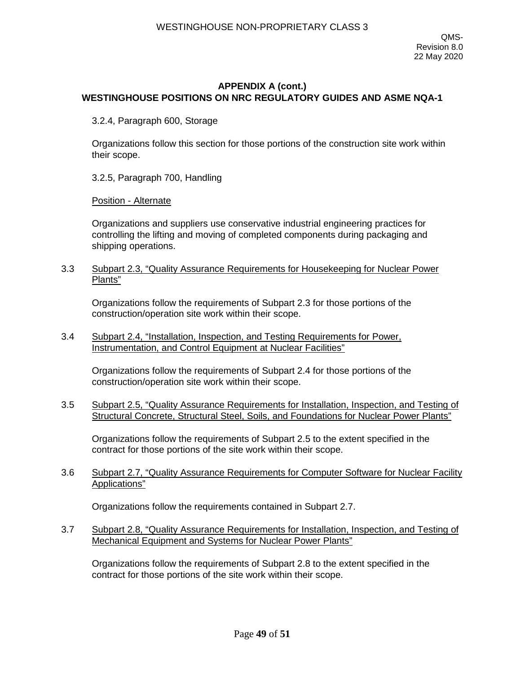3.2.4, Paragraph 600, Storage

Organizations follow this section for those portions of the construction site work within their scope.

3.2.5, Paragraph 700, Handling

Position - Alternate

Organizations and suppliers use conservative industrial engineering practices for controlling the lifting and moving of completed components during packaging and shipping operations.

3.3 Subpart 2.3, "Quality Assurance Requirements for Housekeeping for Nuclear Power Plants"

Organizations follow the requirements of Subpart 2.3 for those portions of the construction/operation site work within their scope.

3.4 Subpart 2.4, "Installation, Inspection, and Testing Requirements for Power, Instrumentation, and Control Equipment at Nuclear Facilities"

Organizations follow the requirements of Subpart 2.4 for those portions of the construction/operation site work within their scope.

3.5 Subpart 2.5, "Quality Assurance Requirements for Installation, Inspection, and Testing of Structural Concrete, Structural Steel, Soils, and Foundations for Nuclear Power Plants"

Organizations follow the requirements of Subpart 2.5 to the extent specified in the contract for those portions of the site work within their scope.

3.6 Subpart 2.7, "Quality Assurance Requirements for Computer Software for Nuclear Facility Applications"

Organizations follow the requirements contained in Subpart 2.7.

3.7 Subpart 2.8, "Quality Assurance Requirements for Installation, Inspection, and Testing of Mechanical Equipment and Systems for Nuclear Power Plants"

Organizations follow the requirements of Subpart 2.8 to the extent specified in the contract for those portions of the site work within their scope.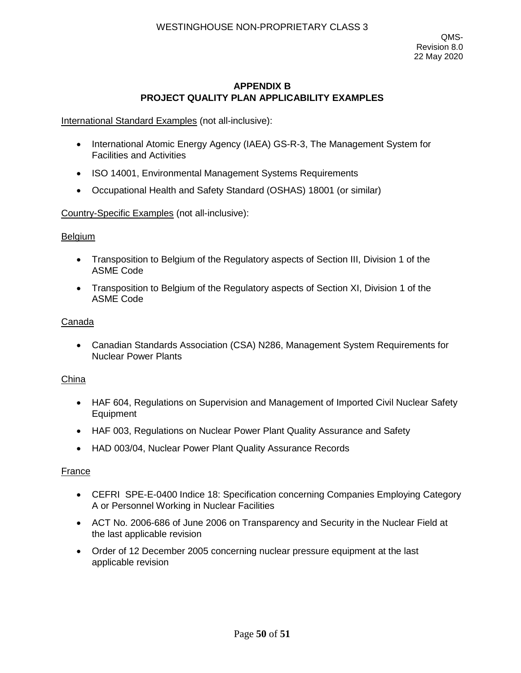## **APPENDIX B PROJECT QUALITY PLAN APPLICABILITY EXAMPLES**

International Standard Examples (not all-inclusive):

- International Atomic Energy Agency (IAEA) GS-R-3, The Management System for Facilities and Activities
- ISO 14001, Environmental Management Systems Requirements
- Occupational Health and Safety Standard (OSHAS) 18001 (or similar)

Country-Specific Examples (not all-inclusive):

#### **Belgium**

- Transposition to Belgium of the Regulatory aspects of Section III, Division 1 of the ASME Code
- Transposition to Belgium of the Regulatory aspects of Section XI, Division 1 of the ASME Code

#### Canada

• Canadian Standards Association (CSA) N286, Management System Requirements for Nuclear Power Plants

#### China

- HAF 604, Regulations on Supervision and Management of Imported Civil Nuclear Safety Equipment
- HAF 003, Regulations on Nuclear Power Plant Quality Assurance and Safety
- HAD 003/04, Nuclear Power Plant Quality Assurance Records

#### France

- CEFRI SPE-E-0400 Indice 18: Specification concerning Companies Employing Category A or Personnel Working in Nuclear Facilities
- ACT No. 2006-686 of June 2006 on Transparency and Security in the Nuclear Field at the last applicable revision
- Order of 12 December 2005 concerning nuclear pressure equipment at the last applicable revision